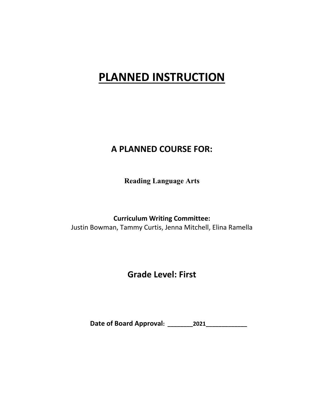# **PLANNED INSTRUCTION**

## **A PLANNED COURSE FOR:**

**Reading Language Arts**

**Curriculum Writing Committee:** Justin Bowman, Tammy Curtis, Jenna Mitchell, Elina Ramella

## **Grade Level: First**

**Date of Board Approval: \_\_\_\_\_\_\_\_2021\_\_\_\_\_\_\_\_\_\_\_\_\_**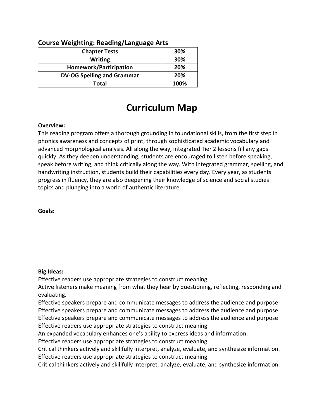| <b>Chapter Tests</b>              | 30%  |  |
|-----------------------------------|------|--|
| <b>Writing</b>                    | 30%  |  |
| Homework/Participation            | 20%  |  |
| <b>DV-OG Spelling and Grammar</b> | 20%  |  |
| Total                             | 100% |  |

## **Course Weighting: Reading/Language Arts**

## **Curriculum Map**

#### **Overview:**

This reading program offers a thorough grounding in foundational skills, from the first step in phonics awareness and concepts of print, through sophisticated academic vocabulary and advanced morphological analysis. All along the way, integrated Tier 2 lessons fill any gaps quickly. As they deepen understanding, students are encouraged to listen before speaking, speak before writing, and think critically along the way. With integrated grammar, spelling, and handwriting instruction, students build their capabilities every day. Every year, as students' progress in fluency, they are also deepening their knowledge of science and social studies topics and plunging into a world of authentic literature.

**Goals:** 

#### **Big Ideas:**

Effective readers use appropriate strategies to construct meaning.

Active listeners make meaning from what they hear by questioning, reflecting, responding and evaluating.

Effective speakers prepare and communicate messages to address the audience and purpose Effective speakers prepare and communicate messages to address the audience and purpose. Effective speakers prepare and communicate messages to address the audience and purpose

Effective readers use appropriate strategies to construct meaning.

An expanded vocabulary enhances one's ability to express ideas and information.

Effective readers use appropriate strategies to construct meaning.

Critical thinkers actively and skillfully interpret, analyze, evaluate, and synthesize information. Effective readers use appropriate strategies to construct meaning.

Critical thinkers actively and skillfully interpret, analyze, evaluate, and synthesize information.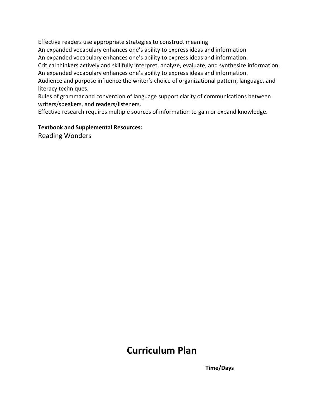Effective readers use appropriate strategies to construct meaning

An expanded vocabulary enhances one's ability to express ideas and information

An expanded vocabulary enhances one's ability to express ideas and information.

Critical thinkers actively and skillfully interpret, analyze, evaluate, and synthesize information. An expanded vocabulary enhances one's ability to express ideas and information.

Audience and purpose influence the writer's choice of organizational pattern, language, and literacy techniques.

Rules of grammar and convention of language support clarity of communications between writers/speakers, and readers/listeners.

Effective research requires multiple sources of information to gain or expand knowledge.

#### **Textbook and Supplemental Resources:**

Reading Wonders

## **Curriculum Plan**

 **Time/Days**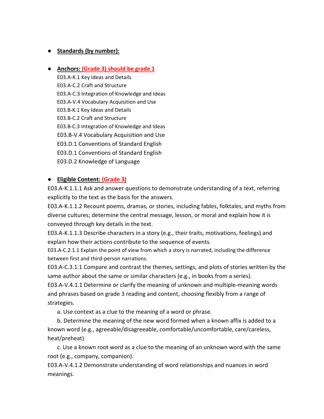## ● **Standards (by number):**

#### ● **Anchors: (Grade 3) should be grade 1**

E03.A-K.1 Key Ideas and Details E03.A-C.2 Craft and Structure E03.A-C.3 Integration of Knowledge and Ideas E03.A-V.4 Vocabulary Acquisition and Use E03.B-K.1 Key Ideas and Details E03.B-C.2 Craft and Structure E03.B-C.3 Integration of Knowledge and Ideas E03.B-V.4 Vocabulary Acquisition and Use E03.D.1 Conventions of Standard English E03.D.1 Conventions of Standard English E03.D.2 Knowledge of Language

### ● **Eligible Content: (Grade 3)**

E03.A-K.1.1.1 Ask and answer questions to demonstrate understanding of a text, referring explicitly to the text as the basis for the answers.

E03.A-K.1.1.2 Recount poems, dramas, or stories, including fables, folktales, and myths from diverse cultures; determine the central message, lesson, or moral and explain how it is conveyed through key details in the text.

E03.A-K.1.1.3 Describe characters in a story (e.g., their traits, motivations, feelings) and explain how their actions contribute to the sequence of events.

E03.A-C.2.1.1 Explain the point of view from which a story is narrated, including the difference between first and third-person narrations.

E03.A-C.3.1.1 Compare and contrast the themes, settings, and plots of stories written by the same author about the same or similar characters (e.g., in books from a series).

E03.A-V.4.1.1 Determine or clarify the meaning of unknown and multiple-meaning words and phrases based on grade 3 reading and content, choosing flexibly from a range of strategies.

a. Use context as a clue to the meaning of a word or phrase.

b. Determine the meaning of the new word formed when a known affix is added to a known word (e.g., agreeable/disagreeable, comfortable/uncomfortable, care/careless, heat/preheat).

c. Use a known root word as a clue to the meaning of an unknown word with the same root (e.g., company, companion).

E03.A-V.4.1.2 Demonstrate understanding of word relationships and nuances in word meanings.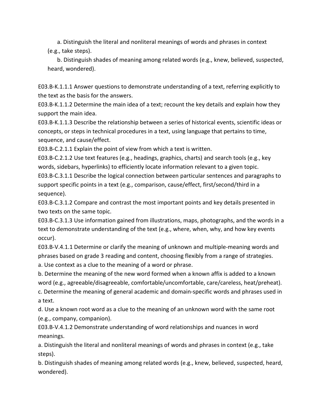a. Distinguish the literal and nonliteral meanings of words and phrases in context (e.g., take steps).

b. Distinguish shades of meaning among related words (e.g., knew, believed, suspected, heard, wondered).

E03.B-K.1.1.1 Answer questions to demonstrate understanding of a text, referring explicitly to the text as the basis for the answers.

E03.B-K.1.1.2 Determine the main idea of a text; recount the key details and explain how they support the main idea.

E03.B-K.1.1.3 Describe the relationship between a series of historical events, scientific ideas or concepts, or steps in technical procedures in a text, using language that pertains to time, sequence, and cause/effect.

E03.B-C.2.1.1 Explain the point of view from which a text is written.

E03.B-C.2.1.2 Use text features (e.g., headings, graphics, charts) and search tools (e.g., key words, sidebars, hyperlinks) to efficiently locate information relevant to a given topic. E03.B-C.3.1.1 Describe the logical connection between particular sentences and paragraphs to support specific points in a text (e.g., comparison, cause/effect, first/second/third in a sequence).

E03.B-C.3.1.2 Compare and contrast the most important points and key details presented in two texts on the same topic.

E03.B-C.3.1.3 Use information gained from illustrations, maps, photographs, and the words in a text to demonstrate understanding of the text (e.g., where, when, why, and how key events occur).

E03.B-V.4.1.1 Determine or clarify the meaning of unknown and multiple-meaning words and phrases based on grade 3 reading and content, choosing flexibly from a range of strategies.

a. Use context as a clue to the meaning of a word or phrase.

b. Determine the meaning of the new word formed when a known affix is added to a known word (e.g., agreeable/disagreeable, comfortable/uncomfortable, care/careless, heat/preheat). c. Determine the meaning of general academic and domain-specific words and phrases used in

a text.

d. Use a known root word as a clue to the meaning of an unknown word with the same root (e.g., company, companion).

E03.B-V.4.1.2 Demonstrate understanding of word relationships and nuances in word meanings.

a. Distinguish the literal and nonliteral meanings of words and phrases in context (e.g., take steps).

b. Distinguish shades of meaning among related words (e.g., knew, believed, suspected, heard, wondered).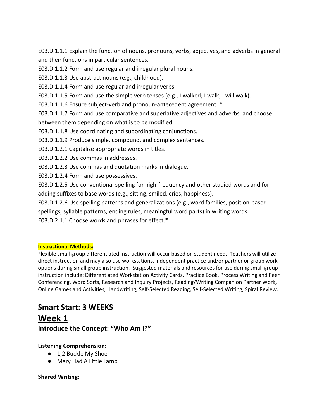E03.D.1.1.1 Explain the function of nouns, pronouns, verbs, adjectives, and adverbs in general and their functions in particular sentences.

E03.D.1.1.2 Form and use regular and irregular plural nouns.

E03.D.1.1.3 Use abstract nouns (e.g., childhood).

E03.D.1.1.4 Form and use regular and irregular verbs.

E03.D.1.1.5 Form and use the simple verb tenses (e.g., I walked; I walk; I will walk).

E03.D.1.1.6 Ensure subject-verb and pronoun-antecedent agreement. \*

E03.D.1.1.7 Form and use comparative and superlative adjectives and adverbs, and choose between them depending on what is to be modified.

E03.D.1.1.8 Use coordinating and subordinating conjunctions.

E03.D.1.1.9 Produce simple, compound, and complex sentences.

E03.D.1.2.1 Capitalize appropriate words in titles.

E03.D.1.2.2 Use commas in addresses.

E03.D.1.2.3 Use commas and quotation marks in dialogue.

E03.D.1.2.4 Form and use possessives.

E03.D.1.2.5 Use conventional spelling for high-frequency and other studied words and for adding suffixes to base words (e.g., sitting, smiled, cries, happiness).

E03.D.1.2.6 Use spelling patterns and generalizations (e.g., word families, position-based spellings, syllable patterns, ending rules, meaningful word parts) in writing words E03.D.2.1.1 Choose words and phrases for effect.\*

#### **Instructional Methods:**

Flexible small group differentiated instruction will occur based on student need. Teachers will utilize direct instruction and may also use workstations, independent practice and/or partner or group work options during small group instruction. Suggested materials and resources for use during small group instruction include: Differentiated Workstation Activity Cards, Practice Book, Process Writing and Peer Conferencing, Word Sorts, Research and Inquiry Projects, Reading/Writing Companion Partner Work, Online Games and Activities, Handwriting, Self-Selected Reading, Self-Selected Writing, Spiral Review.

## **Smart Start: 3 WEEKS Week 1 Introduce the Concept: "Who Am I?"**

#### **Listening Comprehension:**

- 1,2 Buckle My Shoe
- Mary Had A Little Lamb

#### **Shared Writing:**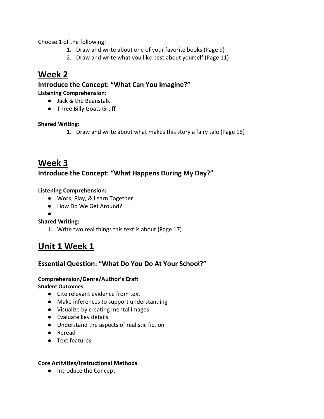Choose 1 of the following:

- 1. Draw and write about one of your favorite books (Page 9)
- 2. Draw and write what you like best about yourself (Page 11)

## **Week 2**

**Introduce the Concept: "What Can You Imagine?" Listening Comprehension:** 

- Jack & the Beanstalk
- Three Billy Goats Gruff

### **Shared Writing:**

1. Draw and write about what makes this story a fairy tale (Page 15)

## **Week 3**

## **Introduce the Concept: "What Happens During My Day?"**

### **Listening Comprehension:**

- Work, Play, & Learn Together
- How Do We Get Around?
- ●

#### S**hared Writing:**

1. Write two real things this text is about (Page 17)

## **Unit 1 Week 1**

## **Essential Question: "What Do You Do At Your School?"**

#### **Comprehension/Genre/Author's Craft**

**Student Outcomes:**

- Cite relevant evidence from text
- Make inferences to support understanding
- Visualize by creating mental images
- Evaluate key details
- Understand the aspects of realistic fiction
- Reread
- Text features

#### **Core Activities/Instructional Methods**

● Introduce the Concept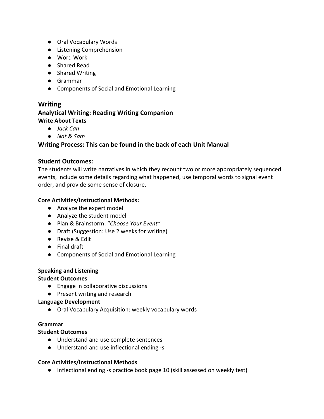- Oral Vocabulary Words
- Listening Comprehension
- Word Work
- Shared Read
- Shared Writing
- Grammar
- Components of Social and Emotional Learning

## **Writing**

### **Analytical Writing: Reading Writing Companion Write About Texts**

- *Jack Can*
- *Nat & Sam*

## **Writing Process: This can be found in the back of each Unit Manual**

### **Student Outcomes:**

The students will write narratives in which they recount two or more appropriately sequenced events, include some details regarding what happened, use temporal words to signal event order, and provide some sense of closure.

### **Core Activities/Instructional Methods:**

- Analyze the expert model
- Analyze the student model
- Plan & Brainstorm: "*Choose Your Event"*
- Draft (Suggestion: Use 2 weeks for writing)
- Revise & Edit
- Final draft
- Components of Social and Emotional Learning

#### **Speaking and Listening**

#### **Student Outcomes**

- Engage in collaborative discussions
- Present writing and research

#### **Language Development**

● Oral Vocabulary Acquisition: weekly vocabulary words

#### **Grammar**

#### **Student Outcomes**

- Understand and use complete sentences
- Understand and use inflectional ending -s

#### **Core Activities/Instructional Methods**

● Inflectional ending -s practice book page 10 (skill assessed on weekly test)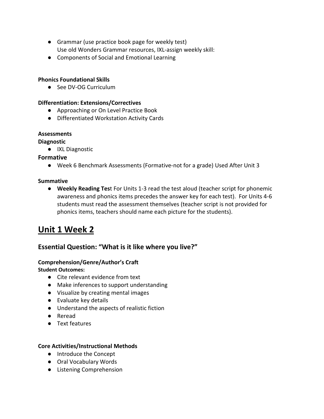- Grammar (use practice book page for weekly test) Use old Wonders Grammar resources, IXL-assign weekly skill:
- Components of Social and Emotional Learning

#### **Phonics Foundational Skills**

● See DV-OG Curriculum

#### **Differentiation: Extensions/Correctives**

- Approaching or On Level Practice Book
- Differentiated Workstation Activity Cards

#### **Assessments**

#### **Diagnostic**

● IXL Diagnostic

#### **Formative**

● Week 6 Benchmark Assessments (Formative-not for a grade) Used After Unit 3

#### **Summative**

● **Weekly Reading Tes**t For Units 1-3 read the test aloud (teacher script for phonemic awareness and phonics items precedes the answer key for each test). For Units 4-6 students must read the assessment themselves (teacher script is not provided for phonics items, teachers should name each picture for the students).

## **Unit 1 Week 2**

## **Essential Question: "What is it like where you live?"**

## **Comprehension/Genre/Author's Craft**

#### **Student Outcomes:**

- Cite relevant evidence from text
- Make inferences to support understanding
- Visualize by creating mental images
- Evaluate key details
- Understand the aspects of realistic fiction
- Reread
- Text features

- Introduce the Concept
- Oral Vocabulary Words
- Listening Comprehension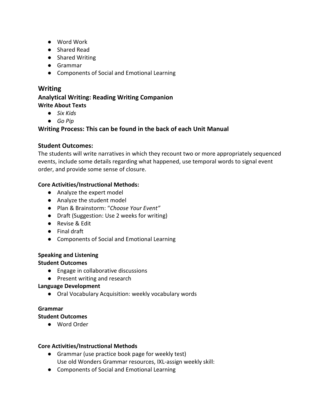- Word Work
- Shared Read
- Shared Writing
- Grammar
- Components of Social and Emotional Learning

## **Writing**

#### **Analytical Writing: Reading Writing Companion Write About Texts**

- *Six Kids*
- *Go Pip*

## **Writing Process: This can be found in the back of each Unit Manual**

## **Student Outcomes:**

The students will write narratives in which they recount two or more appropriately sequenced events, include some details regarding what happened, use temporal words to signal event order, and provide some sense of closure.

## **Core Activities/Instructional Methods:**

- Analyze the expert model
- Analyze the student model
- Plan & Brainstorm: "*Choose Your Event"*
- Draft (Suggestion: Use 2 weeks for writing)
- Revise & Edit
- Final draft
- Components of Social and Emotional Learning

## **Speaking and Listening**

## **Student Outcomes**

- Engage in collaborative discussions
- Present writing and research

## **Language Development**

● Oral Vocabulary Acquisition: weekly vocabulary words

## **Grammar**

## **Student Outcomes**

● Word Order

- Grammar (use practice book page for weekly test) Use old Wonders Grammar resources, IXL-assign weekly skill:
- Components of Social and Emotional Learning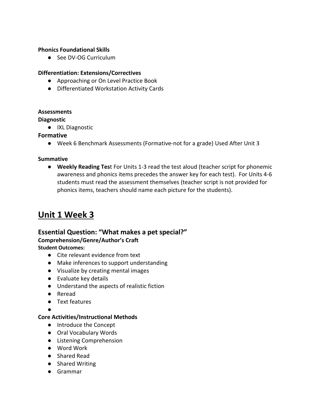#### **Phonics Foundational Skills**

● See DV-OG Curriculum

#### **Differentiation: Extensions/Correctives**

- Approaching or On Level Practice Book
- Differentiated Workstation Activity Cards

#### **Assessments**

**Diagnostic**

● IXL Diagnostic

#### **Formative**

● Week 6 Benchmark Assessments (Formative-not for a grade) Used After Unit 3

#### **Summative**

● **Weekly Reading Tes**t For Units 1-3 read the test aloud (teacher script for phonemic awareness and phonics items precedes the answer key for each test). For Units 4-6 students must read the assessment themselves (teacher script is not provided for phonics items, teachers should name each picture for the students).

## **Unit 1 Week 3**

### **Essential Question: "What makes a pet special?" Comprehension/Genre/Author's Craft**

#### **Student Outcomes:**

- Cite relevant evidence from text
- Make inferences to support understanding
- Visualize by creating mental images
- Evaluate key details
- Understand the aspects of realistic fiction
- Reread
- Text features

●

- Introduce the Concept
- Oral Vocabulary Words
- Listening Comprehension
- Word Work
- Shared Read
- Shared Writing
- Grammar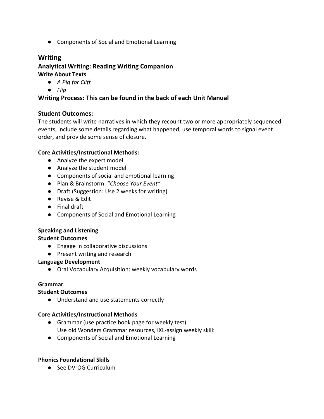● Components of Social and Emotional Learning

## **Writing**

**Analytical Writing: Reading Writing Companion Write About Texts**

- *A Pig for Cliff*
- *Flip*

### **Writing Process: This can be found in the back of each Unit Manual**

#### **Student Outcomes:**

The students will write narratives in which they recount two or more appropriately sequenced events, include some details regarding what happened, use temporal words to signal event order, and provide some sense of closure.

#### **Core Activities/Instructional Methods:**

- Analyze the expert model
- Analyze the student model
- Components of social and emotional learning
- Plan & Brainstorm: "*Choose Your Event"*
- Draft (Suggestion: Use 2 weeks for writing)
- Revise & Edit
- Final draft
- Components of Social and Emotional Learning

#### **Speaking and Listening**

#### **Student Outcomes**

- Engage in collaborative discussions
- Present writing and research

#### **Language Development**

● Oral Vocabulary Acquisition: weekly vocabulary words

#### **Grammar**

#### **Student Outcomes**

● Understand and use statements correctly

#### **Core Activities/Instructional Methods**

- Grammar (use practice book page for weekly test) Use old Wonders Grammar resources, IXL-assign weekly skill:
- Components of Social and Emotional Learning

#### **Phonics Foundational Skills**

● See DV-OG Curriculum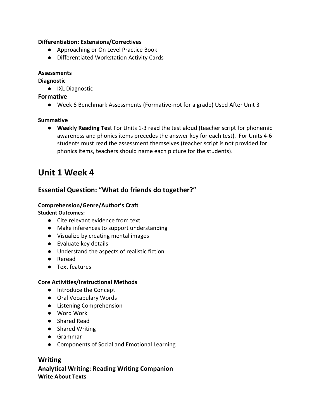#### **Differentiation: Extensions/Correctives**

- Approaching or On Level Practice Book
- Differentiated Workstation Activity Cards

#### **Assessments**

#### **Diagnostic**

● IXL Diagnostic

#### **Formative**

● Week 6 Benchmark Assessments (Formative-not for a grade) Used After Unit 3

#### **Summative**

● **Weekly Reading Tes**t For Units 1-3 read the test aloud (teacher script for phonemic awareness and phonics items precedes the answer key for each test). For Units 4-6 students must read the assessment themselves (teacher script is not provided for phonics items, teachers should name each picture for the students).

## **Unit 1 Week 4**

## **Essential Question: "What do friends do together?"**

#### **Comprehension/Genre/Author's Craft**

#### **Student Outcomes:**

- Cite relevant evidence from text
- Make inferences to support understanding
- Visualize by creating mental images
- Evaluate key details
- Understand the aspects of realistic fiction
- Reread
- Text features

#### **Core Activities/Instructional Methods**

- Introduce the Concept
- Oral Vocabulary Words
- Listening Comprehension
- Word Work
- Shared Read
- Shared Writing
- Grammar
- Components of Social and Emotional Learning

## **Writing**

## **Analytical Writing: Reading Writing Companion Write About Texts**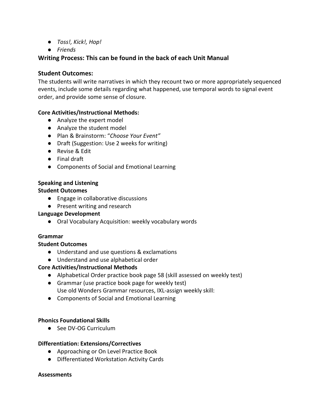- *Toss!, Kick!, Hop!*
- *Friends*

## **Writing Process: This can be found in the back of each Unit Manual**

### **Student Outcomes:**

The students will write narratives in which they recount two or more appropriately sequenced events, include some details regarding what happened, use temporal words to signal event order, and provide some sense of closure.

#### **Core Activities/Instructional Methods:**

- Analyze the expert model
- Analyze the student model
- Plan & Brainstorm: "*Choose Your Event"*
- Draft (Suggestion: Use 2 weeks for writing)
- Revise & Edit
- Final draft
- Components of Social and Emotional Learning

## **Speaking and Listening**

#### **Student Outcomes**

- Engage in collaborative discussions
- Present writing and research

#### **Language Development**

● Oral Vocabulary Acquisition: weekly vocabulary words

#### **Grammar**

#### **Student Outcomes**

- Understand and use questions & exclamations
- Understand and use alphabetical order

#### **Core Activities/Instructional Methods**

- Alphabetical Order practice book page 58 (skill assessed on weekly test)
- Grammar (use practice book page for weekly test) Use old Wonders Grammar resources, IXL-assign weekly skill:
- Components of Social and Emotional Learning

#### **Phonics Foundational Skills**

● See DV-OG Curriculum

#### **Differentiation: Extensions/Correctives**

- Approaching or On Level Practice Book
- Differentiated Workstation Activity Cards

#### **Assessments**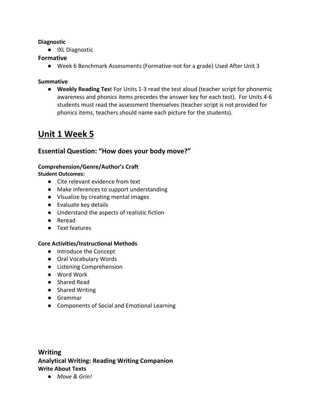#### **Diagnostic**

● IXL Diagnostic

### **Formative**

● Week 6 Benchmark Assessments (Formative-not for a grade) Used After Unit 3

#### **Summative**

● **Weekly Reading Tes**t For Units 1-3 read the test aloud (teacher script for phonemic awareness and phonics items precedes the answer key for each test). For Units 4-6 students must read the assessment themselves (teacher script is not provided for phonics items, teachers should name each picture for the students).

## **Unit 1 Week 5**

## **Essential Question: "How does your body move?"**

## **Comprehension/Genre/Author's Craft**

#### **Student Outcomes:**

- Cite relevant evidence from text
- Make inferences to support understanding
- Visualize by creating mental images
- Evaluate key details
- Understand the aspects of realistic fiction
- Reread
- Text features

#### **Core Activities/Instructional Methods**

- Introduce the Concept
- Oral Vocabulary Words
- Listening Comprehension
- Word Work
- Shared Read
- Shared Writing
- Grammar
- Components of Social and Emotional Learning

## **Writing Analytical Writing: Reading Writing Companion Write About Texts**

● *Move & Grin!*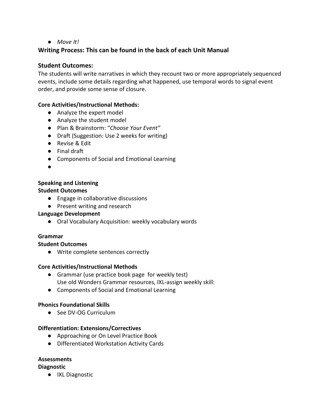#### ● *Move It!*

## **Writing Process: This can be found in the back of each Unit Manual**

#### **Student Outcomes:**

The students will write narratives in which they recount two or more appropriately sequenced events, include some details regarding what happened, use temporal words to signal event order, and provide some sense of closure.

#### **Core Activities/Instructional Methods:**

- Analyze the expert model
- Analyze the student model
- Plan & Brainstorm: "*Choose Your Event"*
- Draft (Suggestion: Use 2 weeks for writing)
- Revise & Edit
- Final draft
- Components of Social and Emotional Learning
- ●

## **Speaking and Listening**

#### **Student Outcomes**

- Engage in collaborative discussions
- Present writing and research

#### **Language Development**

● Oral Vocabulary Acquisition: weekly vocabulary words

#### **Grammar**

#### **Student Outcomes**

● Write complete sentences correctly

#### **Core Activities/Instructional Methods**

- Grammar (use practice book page for weekly test) Use old Wonders Grammar resources, IXL-assign weekly skill:
- Components of Social and Emotional Learning

#### **Phonics Foundational Skills**

● See DV-OG Curriculum

#### **Differentiation: Extensions/Correctives**

- Approaching or On Level Practice Book
- Differentiated Workstation Activity Cards

#### **Assessments**

#### **Diagnostic**

● IXL Diagnostic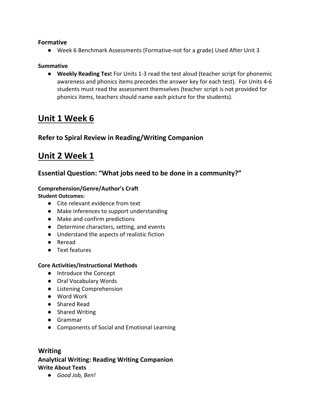#### **Formative**

● Week 6 Benchmark Assessments (Formative-not for a grade) Used After Unit 3

#### **Summative**

● **Weekly Reading Tes**t For Units 1-3 read the test aloud (teacher script for phonemic awareness and phonics items precedes the answer key for each test). For Units 4-6 students must read the assessment themselves (teacher script is not provided for phonics items, teachers should name each picture for the students).

## **Unit 1 Week 6**

## **Refer to Spiral Review in Reading/Writing Companion**

## **Unit 2 Week 1**

## **Essential Question: "What jobs need to be done in a community?"**

#### **Comprehension/Genre/Author's Craft**

**Student Outcomes:**

- Cite relevant evidence from text
- Make inferences to support understanding
- Make and confirm predictions
- Determine characters, setting, and events
- Understand the aspects of realistic fiction
- Reread
- Text features

#### **Core Activities/Instructional Methods**

- Introduce the Concept
- Oral Vocabulary Words
- Listening Comprehension
- Word Work
- Shared Read
- Shared Writing
- Grammar
- Components of Social and Emotional Learning

## **Writing**

## **Analytical Writing: Reading Writing Companion Write About Texts**

● *Good Job, Ben!*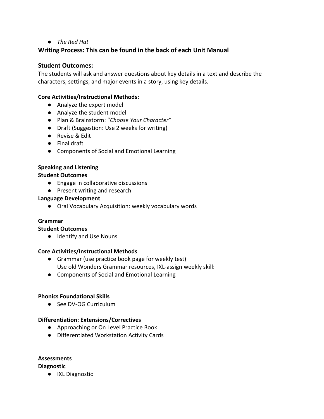#### ● *The Red Hat*

### **Writing Process: This can be found in the back of each Unit Manual**

#### **Student Outcomes:**

The students will ask and answer questions about key details in a text and describe the characters, settings, and major events in a story, using key details.

#### **Core Activities/Instructional Methods:**

- Analyze the expert model
- Analyze the student model
- Plan & Brainstorm: "*Choose Your Character"*
- Draft (Suggestion: Use 2 weeks for writing)
- Revise & Edit
- Final draft
- Components of Social and Emotional Learning

#### **Speaking and Listening**

#### **Student Outcomes**

- Engage in collaborative discussions
- Present writing and research

#### **Language Development**

● Oral Vocabulary Acquisition: weekly vocabulary words

#### **Grammar**

#### **Student Outcomes**

● Identify and Use Nouns

#### **Core Activities/Instructional Methods**

- Grammar (use practice book page for weekly test) Use old Wonders Grammar resources, IXL-assign weekly skill:
- Components of Social and Emotional Learning

#### **Phonics Foundational Skills**

● See DV-OG Curriculum

#### **Differentiation: Extensions/Correctives**

- Approaching or On Level Practice Book
- Differentiated Workstation Activity Cards

## **Assessments**

#### **Diagnostic**

● IXL Diagnostic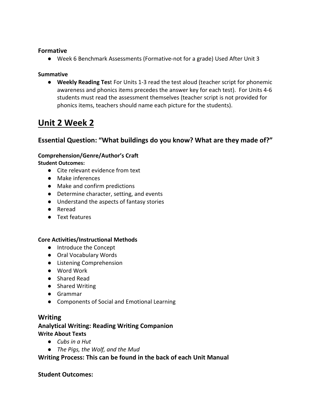#### **Formative**

● Week 6 Benchmark Assessments (Formative-not for a grade) Used After Unit 3

#### **Summative**

● **Weekly Reading Tes**t For Units 1-3 read the test aloud (teacher script for phonemic awareness and phonics items precedes the answer key for each test). For Units 4-6 students must read the assessment themselves (teacher script is not provided for phonics items, teachers should name each picture for the students).

## **Unit 2 Week 2**

## **Essential Question: "What buildings do you know? What are they made of?"**

## **Comprehension/Genre/Author's Craft**

**Student Outcomes:**

- Cite relevant evidence from text
- Make inferences
- Make and confirm predictions
- Determine character, setting, and events
- Understand the aspects of fantasy stories
- Reread
- Text features

#### **Core Activities/Instructional Methods**

- Introduce the Concept
- Oral Vocabulary Words
- Listening Comprehension
- Word Work
- Shared Read
- Shared Writing
- Grammar
- Components of Social and Emotional Learning

#### **Writing**

## **Analytical Writing: Reading Writing Companion Write About Texts**

- *Cubs in a Hut*
- *The Pigs, the Wolf, and the Mud*

#### **Writing Process: This can be found in the back of each Unit Manual**

#### **Student Outcomes:**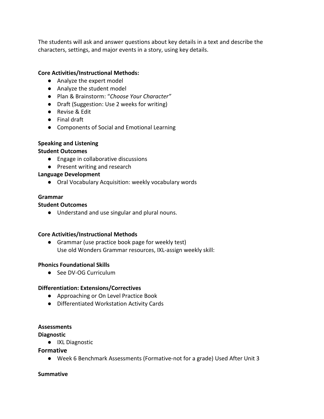The students will ask and answer questions about key details in a text and describe the characters, settings, and major events in a story, using key details.

#### **Core Activities/Instructional Methods:**

- Analyze the expert model
- Analyze the student model
- Plan & Brainstorm: "*Choose Your Character"*
- Draft (Suggestion: Use 2 weeks for writing)
- Revise & Edit
- Final draft
- Components of Social and Emotional Learning

#### **Speaking and Listening**

#### **Student Outcomes**

- Engage in collaborative discussions
- Present writing and research

#### **Language Development**

● Oral Vocabulary Acquisition: weekly vocabulary words

#### **Grammar**

#### **Student Outcomes**

● Understand and use singular and plural nouns.

#### **Core Activities/Instructional Methods**

● Grammar (use practice book page for weekly test) Use old Wonders Grammar resources, IXL-assign weekly skill:

#### **Phonics Foundational Skills**

● See DV-OG Curriculum

#### **Differentiation: Extensions/Correctives**

- Approaching or On Level Practice Book
- Differentiated Workstation Activity Cards

#### **Assessments**

#### **Diagnostic**

● IXL Diagnostic

#### **Formative**

● Week 6 Benchmark Assessments (Formative-not for a grade) Used After Unit 3

#### **Summative**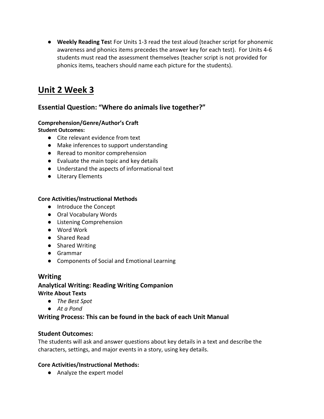● **Weekly Reading Tes**t For Units 1-3 read the test aloud (teacher script for phonemic awareness and phonics items precedes the answer key for each test). For Units 4-6 students must read the assessment themselves (teacher script is not provided for phonics items, teachers should name each picture for the students).

## **Unit 2 Week 3**

## **Essential Question: "Where do animals live together?"**

## **Comprehension/Genre/Author's Craft**

**Student Outcomes:**

- Cite relevant evidence from text
- Make inferences to support understanding
- Reread to monitor comprehension
- Evaluate the main topic and key details
- Understand the aspects of informational text
- Literary Elements

## **Core Activities/Instructional Methods**

- Introduce the Concept
- Oral Vocabulary Words
- Listening Comprehension
- Word Work
- Shared Read
- Shared Writing
- Grammar
- Components of Social and Emotional Learning

## **Writing**

### **Analytical Writing: Reading Writing Companion Write About Texts**

- *The Best Spot*
- *At a Pond*

## **Writing Process: This can be found in the back of each Unit Manual**

## **Student Outcomes:**

The students will ask and answer questions about key details in a text and describe the characters, settings, and major events in a story, using key details.

#### **Core Activities/Instructional Methods:**

● Analyze the expert model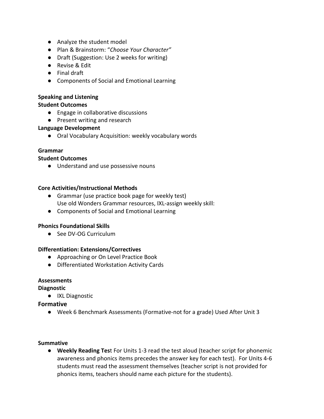- Analyze the student model
- Plan & Brainstorm: "*Choose Your Character"*
- Draft (Suggestion: Use 2 weeks for writing)
- Revise & Edit
- Final draft
- Components of Social and Emotional Learning

#### **Speaking and Listening**

#### **Student Outcomes**

- Engage in collaborative discussions
- Present writing and research

#### **Language Development**

● Oral Vocabulary Acquisition: weekly vocabulary words

#### **Grammar**

#### **Student Outcomes**

● Understand and use possessive nouns

#### **Core Activities/Instructional Methods**

- Grammar (use practice book page for weekly test) Use old Wonders Grammar resources, IXL-assign weekly skill:
- Components of Social and Emotional Learning

#### **Phonics Foundational Skills**

● See DV-OG Curriculum

#### **Differentiation: Extensions/Correctives**

- Approaching or On Level Practice Book
- Differentiated Workstation Activity Cards

#### **Assessments**

#### **Diagnostic**

● IXL Diagnostic

#### **Formative**

● Week 6 Benchmark Assessments (Formative-not for a grade) Used After Unit 3

#### **Summative**

● **Weekly Reading Tes**t For Units 1-3 read the test aloud (teacher script for phonemic awareness and phonics items precedes the answer key for each test). For Units 4-6 students must read the assessment themselves (teacher script is not provided for phonics items, teachers should name each picture for the students).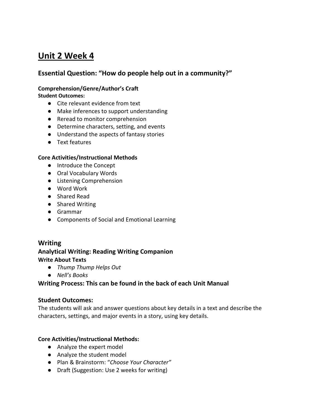## **Unit 2 Week 4**

## **Essential Question: "How do people help out in a community?"**

### **Comprehension/Genre/Author's Craft**

**Student Outcomes:**

- Cite relevant evidence from text
- Make inferences to support understanding
- Reread to monitor comprehension
- Determine characters, setting, and events
- Understand the aspects of fantasy stories
- Text features

#### **Core Activities/Instructional Methods**

- Introduce the Concept
- Oral Vocabulary Words
- Listening Comprehension
- Word Work
- Shared Read
- Shared Writing
- Grammar
- Components of Social and Emotional Learning

#### **Writing**

## **Analytical Writing: Reading Writing Companion Write About Texts**

- *Thump Thump Helps Out*
- *Nell's Books*

### **Writing Process: This can be found in the back of each Unit Manual**

#### **Student Outcomes:**

The students will ask and answer questions about key details in a text and describe the characters, settings, and major events in a story, using key details.

- Analyze the expert model
- Analyze the student model
- Plan & Brainstorm: "*Choose Your Character"*
- Draft (Suggestion: Use 2 weeks for writing)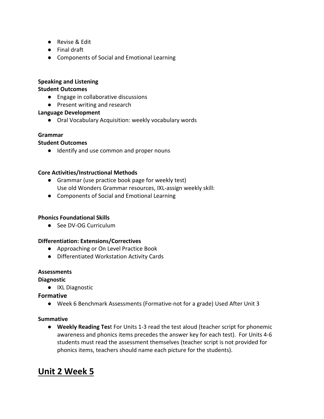- Revise & Edit
- Final draft
- Components of Social and Emotional Learning

#### **Speaking and Listening**

#### **Student Outcomes**

- Engage in collaborative discussions
- Present writing and research

#### **Language Development**

● Oral Vocabulary Acquisition: weekly vocabulary words

#### **Grammar**

#### **Student Outcomes**

● Identify and use common and proper nouns

#### **Core Activities/Instructional Methods**

- Grammar (use practice book page for weekly test) Use old Wonders Grammar resources, IXL-assign weekly skill:
- Components of Social and Emotional Learning

#### **Phonics Foundational Skills**

● See DV-OG Curriculum

#### **Differentiation: Extensions/Correctives**

- Approaching or On Level Practice Book
- Differentiated Workstation Activity Cards

#### **Assessments**

#### **Diagnostic**

● IXL Diagnostic

#### **Formative**

● Week 6 Benchmark Assessments (Formative-not for a grade) Used After Unit 3

#### **Summative**

● **Weekly Reading Tes**t For Units 1-3 read the test aloud (teacher script for phonemic awareness and phonics items precedes the answer key for each test). For Units 4-6 students must read the assessment themselves (teacher script is not provided for phonics items, teachers should name each picture for the students).

## **Unit 2 Week 5**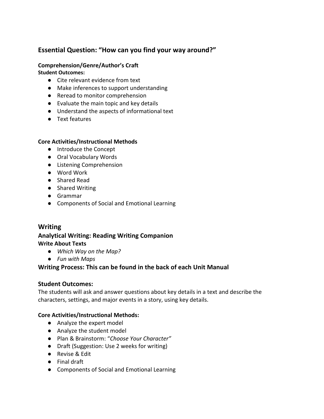## **Essential Question: "How can you find your way around?"**

#### **Comprehension/Genre/Author's Craft**

**Student Outcomes:**

- Cite relevant evidence from text
- Make inferences to support understanding
- Reread to monitor comprehension
- Evaluate the main topic and key details
- Understand the aspects of informational text
- Text features

#### **Core Activities/Instructional Methods**

- Introduce the Concept
- Oral Vocabulary Words
- Listening Comprehension
- Word Work
- Shared Read
- Shared Writing
- Grammar
- Components of Social and Emotional Learning

## **Writing**

## **Analytical Writing: Reading Writing Companion Write About Texts**

- *Which Way on the Map?*
- *Fun with Maps*

## **Writing Process: This can be found in the back of each Unit Manual**

#### **Student Outcomes:**

The students will ask and answer questions about key details in a text and describe the characters, settings, and major events in a story, using key details.

- Analyze the expert model
- Analyze the student model
- Plan & Brainstorm: "*Choose Your Character"*
- Draft (Suggestion: Use 2 weeks for writing)
- Revise & Edit
- Final draft
- Components of Social and Emotional Learning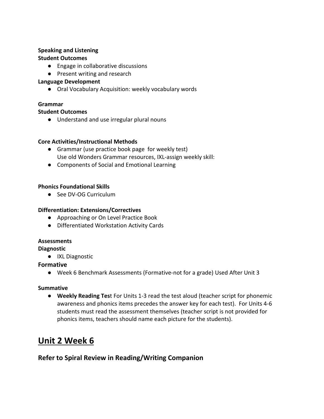## **Speaking and Listening**

### **Student Outcomes**

- Engage in collaborative discussions
- Present writing and research

### **Language Development**

● Oral Vocabulary Acquisition: weekly vocabulary words

## **Grammar**

#### **Student Outcomes**

● Understand and use irregular plural nouns

### **Core Activities/Instructional Methods**

- Grammar (use practice book page for weekly test) Use old Wonders Grammar resources, IXL-assign weekly skill:
- Components of Social and Emotional Learning

### **Phonics Foundational Skills**

● See DV-OG Curriculum

### **Differentiation: Extensions/Correctives**

- Approaching or On Level Practice Book
- Differentiated Workstation Activity Cards

#### **Assessments**

#### **Diagnostic**

● IXL Diagnostic

## **Formative**

● Week 6 Benchmark Assessments (Formative-not for a grade) Used After Unit 3

#### **Summative**

● **Weekly Reading Tes**t For Units 1-3 read the test aloud (teacher script for phonemic awareness and phonics items precedes the answer key for each test). For Units 4-6 students must read the assessment themselves (teacher script is not provided for phonics items, teachers should name each picture for the students).

## **Unit 2 Week 6**

## **Refer to Spiral Review in Reading/Writing Companion**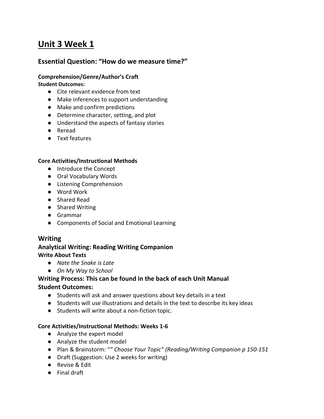## **Unit 3 Week 1**

### **Essential Question: "How do we measure time?"**

## **Comprehension/Genre/Author's Craft**

#### **Student Outcomes:**

- Cite relevant evidence from text
- Make inferences to support understanding
- Make and confirm predictions
- Determine character, setting, and plot
- Understand the aspects of fantasy stories
- Reread
- Text features

#### **Core Activities/Instructional Methods**

- Introduce the Concept
- Oral Vocabulary Words
- Listening Comprehension
- Word Work
- Shared Read
- Shared Writing
- Grammar
- Components of Social and Emotional Learning

#### **Writing**

#### **Analytical Writing: Reading Writing Companion Write About Texts**

- *Nate the Snake is Late*
- *On My Way to School*

#### **Writing Process: This can be found in the back of each Unit Manual Student Outcomes:**

- Students will ask and answer questions about key details in a text
- Students will use illustrations and details in the text to describe its key ideas
- Students will write about a non-fiction topic.

#### **Core Activities/Instructional Methods: Weeks 1-6**

- Analyze the expert model
- Analyze the student model
- Plan & Brainstorm: "*" Choose Your Topic" (Reading/Writing Companion p 150-151*
- Draft (Suggestion: Use 2 weeks for writing)
- Revise & Edit
- Final draft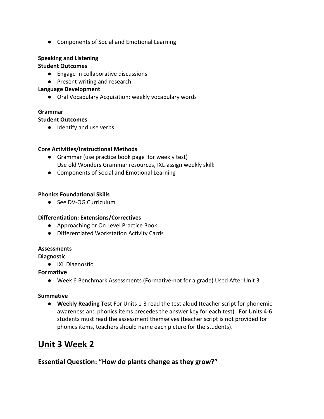● Components of Social and Emotional Learning

### **Speaking and Listening**

#### **Student Outcomes**

- Engage in collaborative discussions
- Present writing and research

#### **Language Development**

● Oral Vocabulary Acquisition: weekly vocabulary words

#### **Grammar**

#### **Student Outcomes**

● Identify and use verbs

#### **Core Activities/Instructional Methods**

- Grammar (use practice book page for weekly test) Use old Wonders Grammar resources, IXL-assign weekly skill:
- Components of Social and Emotional Learning

#### **Phonics Foundational Skills**

● See DV-OG Curriculum

#### **Differentiation: Extensions/Correctives**

- Approaching or On Level Practice Book
- Differentiated Workstation Activity Cards

#### **Assessments**

**Diagnostic**

● IXL Diagnostic

#### **Formative**

● Week 6 Benchmark Assessments (Formative-not for a grade) Used After Unit 3

#### **Summative**

● **Weekly Reading Tes**t For Units 1-3 read the test aloud (teacher script for phonemic awareness and phonics items precedes the answer key for each test). For Units 4-6 students must read the assessment themselves (teacher script is not provided for phonics items, teachers should name each picture for the students).

## **Unit 3 Week 2**

## **Essential Question: "How do plants change as they grow?"**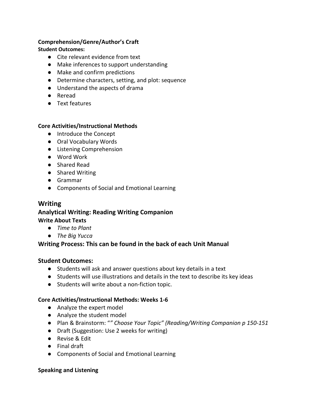#### **Comprehension/Genre/Author's Craft**

#### **Student Outcomes:**

- Cite relevant evidence from text
- Make inferences to support understanding
- Make and confirm predictions
- Determine characters, setting, and plot: sequence
- Understand the aspects of drama
- Reread
- Text features

#### **Core Activities/Instructional Methods**

- Introduce the Concept
- Oral Vocabulary Words
- Listening Comprehension
- Word Work
- Shared Read
- Shared Writing
- Grammar
- Components of Social and Emotional Learning

### **Writing**

#### **Analytical Writing: Reading Writing Companion Write About Texts**

- *Time to Plant*
- *The Big Yucca*

## **Writing Process: This can be found in the back of each Unit Manual**

#### **Student Outcomes:**

- Students will ask and answer questions about key details in a text
- Students will use illustrations and details in the text to describe its key ideas
- Students will write about a non-fiction topic.

#### **Core Activities/Instructional Methods: Weeks 1-6**

- Analyze the expert model
- Analyze the student model
- Plan & Brainstorm: "*" Choose Your Topic" (Reading/Writing Companion p 150-151*
- Draft (Suggestion: Use 2 weeks for writing)
- Revise & Edit
- Final draft
- Components of Social and Emotional Learning

#### **Speaking and Listening**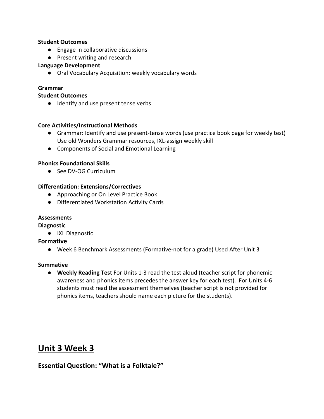#### **Student Outcomes**

- Engage in collaborative discussions
- Present writing and research

#### **Language Development**

● Oral Vocabulary Acquisition: weekly vocabulary words

#### **Grammar**

#### **Student Outcomes**

● Identify and use present tense verbs

#### **Core Activities/Instructional Methods**

- Grammar: Identify and use present-tense words (use practice book page for weekly test) Use old Wonders Grammar resources, IXL-assign weekly skill
- Components of Social and Emotional Learning

#### **Phonics Foundational Skills**

● See DV-OG Curriculum

#### **Differentiation: Extensions/Correctives**

- Approaching or On Level Practice Book
- Differentiated Workstation Activity Cards

#### **Assessments**

**Diagnostic**

● IXL Diagnostic

#### **Formative**

● Week 6 Benchmark Assessments (Formative-not for a grade) Used After Unit 3

#### **Summative**

● **Weekly Reading Tes**t For Units 1-3 read the test aloud (teacher script for phonemic awareness and phonics items precedes the answer key for each test). For Units 4-6 students must read the assessment themselves (teacher script is not provided for phonics items, teachers should name each picture for the students).

## **Unit 3 Week 3**

## **Essential Question: "What is a Folktale?"**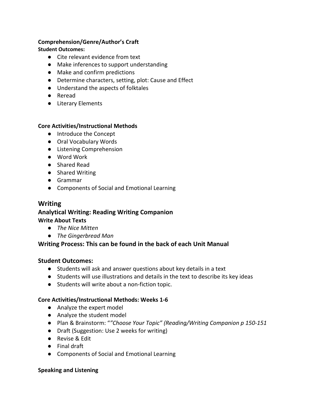#### **Comprehension/Genre/Author's Craft**

#### **Student Outcomes:**

- Cite relevant evidence from text
- Make inferences to support understanding
- Make and confirm predictions
- Determine characters, setting, plot: Cause and Effect
- Understand the aspects of folktales
- Reread
- Literary Elements

#### **Core Activities/Instructional Methods**

- Introduce the Concept
- Oral Vocabulary Words
- Listening Comprehension
- Word Work
- Shared Read
- Shared Writing
- Grammar
- Components of Social and Emotional Learning

### **Writing**

#### **Analytical Writing: Reading Writing Companion Write About Texts**

- *The Nice Mitten*
- *The Gingerbread Man*

## **Writing Process: This can be found in the back of each Unit Manual**

#### **Student Outcomes:**

- Students will ask and answer questions about key details in a text
- Students will use illustrations and details in the text to describe its key ideas
- Students will write about a non-fiction topic.

#### **Core Activities/Instructional Methods: Weeks 1-6**

- Analyze the expert model
- Analyze the student model
- Plan & Brainstorm: "*"Choose Your Topic" (Reading/Writing Companion p 150-151*
- Draft (Suggestion: Use 2 weeks for writing)
- Revise & Edit
- Final draft
- Components of Social and Emotional Learning

#### **Speaking and Listening**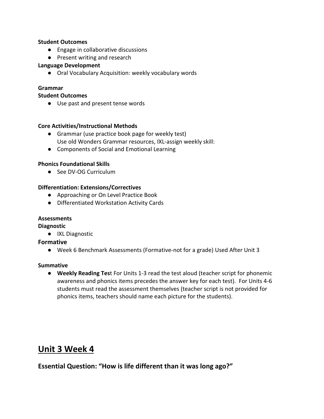#### **Student Outcomes**

- Engage in collaborative discussions
- Present writing and research

#### **Language Development**

● Oral Vocabulary Acquisition: weekly vocabulary words

#### **Grammar**

#### **Student Outcomes**

● Use past and present tense words

#### **Core Activities/Instructional Methods**

- Grammar (use practice book page for weekly test) Use old Wonders Grammar resources, IXL-assign weekly skill:
- Components of Social and Emotional Learning

#### **Phonics Foundational Skills**

● See DV-OG Curriculum

#### **Differentiation: Extensions/Correctives**

- Approaching or On Level Practice Book
- Differentiated Workstation Activity Cards

#### **Assessments**

**Diagnostic**

● IXL Diagnostic

#### **Formative**

● Week 6 Benchmark Assessments (Formative-not for a grade) Used After Unit 3

#### **Summative**

● **Weekly Reading Tes**t For Units 1-3 read the test aloud (teacher script for phonemic awareness and phonics items precedes the answer key for each test). For Units 4-6 students must read the assessment themselves (teacher script is not provided for phonics items, teachers should name each picture for the students).

## **Unit 3 Week 4**

**Essential Question: "How is life different than it was long ago?"**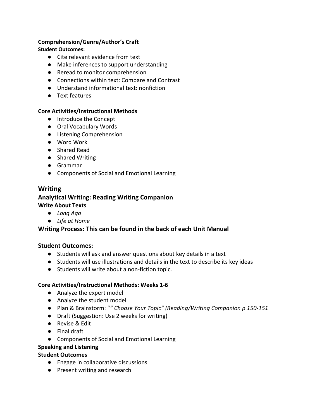#### **Comprehension/Genre/Author's Craft**

#### **Student Outcomes:**

- Cite relevant evidence from text
- Make inferences to support understanding
- Reread to monitor comprehension
- Connections within text: Compare and Contrast
- Understand informational text: nonfiction
- Text features

#### **Core Activities/Instructional Methods**

- Introduce the Concept
- Oral Vocabulary Words
- Listening Comprehension
- Word Work
- Shared Read
- Shared Writing
- Grammar
- Components of Social and Emotional Learning

### **Writing**

#### **Analytical Writing: Reading Writing Companion Write About Texts**

- *Long Ago*
- *Life at Home*

#### **Writing Process: This can be found in the back of each Unit Manual**

#### **Student Outcomes:**

- Students will ask and answer questions about key details in a text
- Students will use illustrations and details in the text to describe its key ideas
- Students will write about a non-fiction topic.

#### **Core Activities/Instructional Methods: Weeks 1-6**

- Analyze the expert model
- Analyze the student model
- Plan & Brainstorm: "*" Choose Your Topic" (Reading/Writing Companion p 150-151*
- Draft (Suggestion: Use 2 weeks for writing)
- Revise & Edit
- Final draft
- Components of Social and Emotional Learning
- **Speaking and Listening**

#### **Student Outcomes**

- Engage in collaborative discussions
- Present writing and research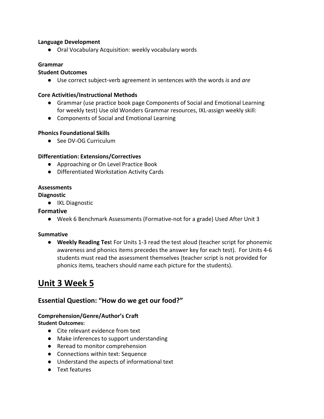#### **Language Development**

● Oral Vocabulary Acquisition: weekly vocabulary words

#### **Grammar**

#### **Student Outcomes**

● Use correct subject-verb agreement in sentences with the words *is* and *are*

#### **Core Activities/Instructional Methods**

- Grammar (use practice book page Components of Social and Emotional Learning for weekly test) Use old Wonders Grammar resources, IXL-assign weekly skill:
- Components of Social and Emotional Learning

#### **Phonics Foundational Skills**

● See DV-OG Curriculum

#### **Differentiation: Extensions/Correctives**

- Approaching or On Level Practice Book
- Differentiated Workstation Activity Cards

#### **Assessments**

#### **Diagnostic**

● IXL Diagnostic

#### **Formative**

● Week 6 Benchmark Assessments (Formative-not for a grade) Used After Unit 3

#### **Summative**

● **Weekly Reading Tes**t For Units 1-3 read the test aloud (teacher script for phonemic awareness and phonics items precedes the answer key for each test). For Units 4-6 students must read the assessment themselves (teacher script is not provided for phonics items, teachers should name each picture for the students).

## **Unit 3 Week 5**

## **Essential Question: "How do we get our food?"**

#### **Comprehension/Genre/Author's Craft**

**Student Outcomes:**

- Cite relevant evidence from text
- Make inferences to support understanding
- Reread to monitor comprehension
- Connections within text: Sequence
- Understand the aspects of informational text
- Text features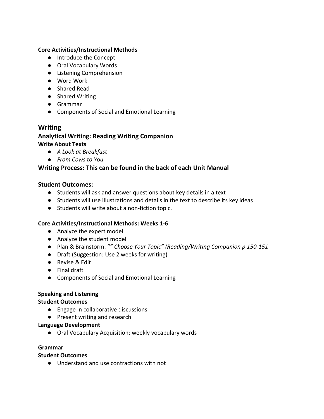#### **Core Activities/Instructional Methods**

- Introduce the Concept
- Oral Vocabulary Words
- Listening Comprehension
- Word Work
- Shared Read
- Shared Writing
- Grammar
- Components of Social and Emotional Learning

#### **Writing**

## **Analytical Writing: Reading Writing Companion**

#### **Write About Texts**

- *A Look at Breakfast*
- *From Cows to You*

#### **Writing Process: This can be found in the back of each Unit Manual**

#### **Student Outcomes:**

- Students will ask and answer questions about key details in a text
- Students will use illustrations and details in the text to describe its key ideas
- Students will write about a non-fiction topic.

#### **Core Activities/Instructional Methods: Weeks 1-6**

- Analyze the expert model
- Analyze the student model
- Plan & Brainstorm: "*" Choose Your Topic" (Reading/Writing Companion p 150-151*
- Draft (Suggestion: Use 2 weeks for writing)
- Revise & Edit
- Final draft
- Components of Social and Emotional Learning

#### **Speaking and Listening**

#### **Student Outcomes**

- Engage in collaborative discussions
- Present writing and research

#### **Language Development**

● Oral Vocabulary Acquisition: weekly vocabulary words

#### **Grammar**

#### **Student Outcomes**

● Understand and use contractions with not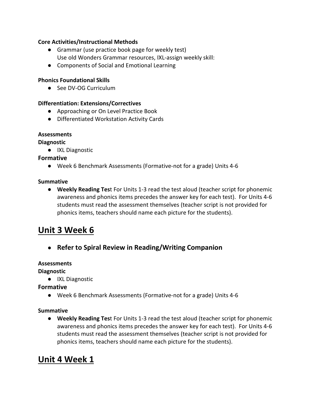#### **Core Activities/Instructional Methods**

- Grammar (use practice book page for weekly test) Use old Wonders Grammar resources, IXL-assign weekly skill:
- Components of Social and Emotional Learning

#### **Phonics Foundational Skills**

● See DV-OG Curriculum

#### **Differentiation: Extensions/Correctives**

- Approaching or On Level Practice Book
- Differentiated Workstation Activity Cards

#### **Assessments**

#### **Diagnostic**

● IXL Diagnostic

#### **Formative**

● Week 6 Benchmark Assessments (Formative-not for a grade) Units 4-6

#### **Summative**

● **Weekly Reading Tes**t For Units 1-3 read the test aloud (teacher script for phonemic awareness and phonics items precedes the answer key for each test). For Units 4-6 students must read the assessment themselves (teacher script is not provided for phonics items, teachers should name each picture for the students).

## **Unit 3 Week 6**

● **Refer to Spiral Review in Reading/Writing Companion** 

#### **Assessments**

#### **Diagnostic**

● IXL Diagnostic

#### **Formative**

● Week 6 Benchmark Assessments (Formative-not for a grade) Units 4-6

#### **Summative**

● **Weekly Reading Tes**t For Units 1-3 read the test aloud (teacher script for phonemic awareness and phonics items precedes the answer key for each test). For Units 4-6 students must read the assessment themselves (teacher script is not provided for phonics items, teachers should name each picture for the students).

## **Unit 4 Week 1**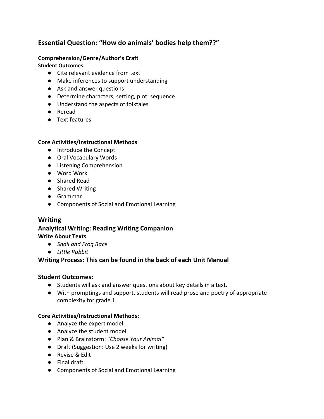## **Essential Question: "How do animals' bodies help them??"**

### **Comprehension/Genre/Author's Craft**

**Student Outcomes:**

- Cite relevant evidence from text
- Make inferences to support understanding
- Ask and answer questions
- Determine characters, setting, plot: sequence
- Understand the aspects of folktales
- Reread
- Text features

### **Core Activities/Instructional Methods**

- Introduce the Concept
- Oral Vocabulary Words
- Listening Comprehension
- Word Work
- Shared Read
- Shared Writing
- Grammar
- Components of Social and Emotional Learning

## **Writing**

## **Analytical Writing: Reading Writing Companion Write About Texts**

- *Snail and Frog Race*
- *Little Rabbit*

## **Writing Process: This can be found in the back of each Unit Manual**

## **Student Outcomes:**

- Students will ask and answer questions about key details in a text.
- With promptings and support, students will read prose and poetry of appropriate complexity for grade 1.

- Analyze the expert model
- Analyze the student model
- Plan & Brainstorm: "*Choose Your Animal"*
- Draft (Suggestion: Use 2 weeks for writing)
- Revise & Edit
- Final draft
- Components of Social and Emotional Learning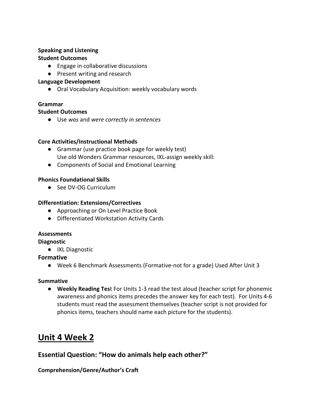## **Speaking and Listening**

### **Student Outcomes**

- Engage in collaborative discussions
- Present writing and research

### **Language Development**

● Oral Vocabulary Acquisition: weekly vocabulary words

## **Grammar**

### **Student Outcomes**

● Use *was* and *were correctly in sentences*

### **Core Activities/Instructional Methods**

- Grammar (use practice book page for weekly test) Use old Wonders Grammar resources, IXL-assign weekly skill:
- Components of Social and Emotional Learning

### **Phonics Foundational Skills**

● See DV-OG Curriculum

### **Differentiation: Extensions/Correctives**

- Approaching or On Level Practice Book
- Differentiated Workstation Activity Cards

#### **Assessments**

**Diagnostic**

● IXL Diagnostic

## **Formative**

● Week 6 Benchmark Assessments (Formative-not for a grade) Used After Unit 3

#### **Summative**

● **Weekly Reading Tes**t For Units 1-3 read the test aloud (teacher script for phonemic awareness and phonics items precedes the answer key for each test). For Units 4-6 students must read the assessment themselves (teacher script is not provided for phonics items, teachers should name each picture for the students).

## **Unit 4 Week 2**

## **Essential Question: "How do animals help each other?"**

## **Comprehension/Genre/Author's Craft**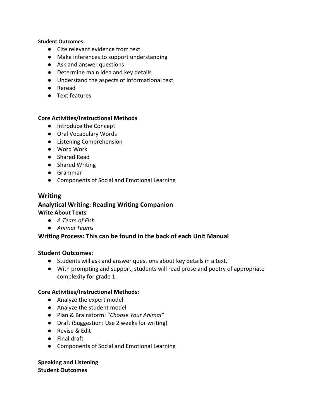#### **Student Outcomes:**

- Cite relevant evidence from text
- Make inferences to support understanding
- Ask and answer questions
- Determine main idea and key details
- Understand the aspects of informational text
- Reread
- Text features

#### **Core Activities/Instructional Methods**

- Introduce the Concept
- Oral Vocabulary Words
- Listening Comprehension
- Word Work
- Shared Read
- Shared Writing
- Grammar
- Components of Social and Emotional Learning

#### **Writing**

#### **Analytical Writing: Reading Writing Companion Write About Texts**

- *A Team of Fish*
- *Animal Teams*

#### **Writing Process: This can be found in the back of each Unit Manual**

#### **Student Outcomes:**

- Students will ask and answer questions about key details in a text.
- With prompting and support, students will read prose and poetry of appropriate complexity for grade 1.

#### **Core Activities/Instructional Methods:**

- Analyze the expert model
- Analyze the student model
- Plan & Brainstorm: "*Choose Your Animal"*
- Draft (Suggestion: Use 2 weeks for writing)
- Revise & Edit
- Final draft
- Components of Social and Emotional Learning

**Speaking and Listening Student Outcomes**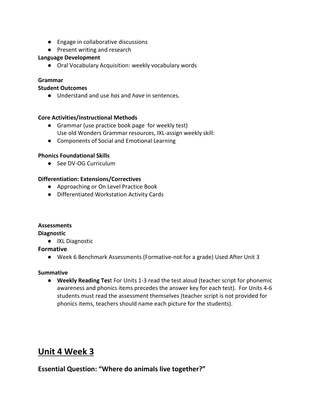- Engage in collaborative discussions
- Present writing and research

#### **Language Development**

● Oral Vocabulary Acquisition: weekly vocabulary words

#### **Grammar**

#### **Student Outcomes**

● Understand and use *has* and *have* in sentences.

#### **Core Activities/Instructional Methods**

- Grammar (use practice book page for weekly test) Use old Wonders Grammar resources, IXL-assign weekly skill:
- Components of Social and Emotional Learning

#### **Phonics Foundational Skills**

● See DV-OG Curriculum

#### **Differentiation: Extensions/Correctives**

- Approaching or On Level Practice Book
- Differentiated Workstation Activity Cards

#### **Assessments**

#### **Diagnostic**

● IXL Diagnostic

#### **Formative**

● Week 6 Benchmark Assessments (Formative-not for a grade) Used After Unit 3

#### **Summative**

● **Weekly Reading Tes**t For Units 1-3 read the test aloud (teacher script for phonemic awareness and phonics items precedes the answer key for each test). For Units 4-6 students must read the assessment themselves (teacher script is not provided for phonics items, teachers should name each picture for the students).

## **Unit 4 Week 3**

## **Essential Question: "Where do animals live together?"**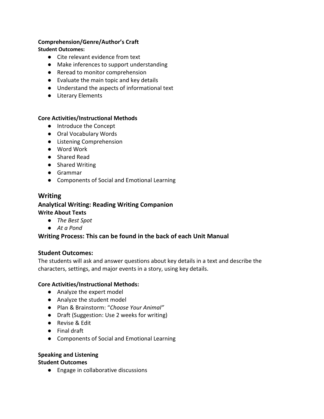## **Comprehension/Genre/Author's Craft**

#### **Student Outcomes:**

- Cite relevant evidence from text
- Make inferences to support understanding
- Reread to monitor comprehension
- Evaluate the main topic and key details
- Understand the aspects of informational text
- Literary Elements

#### **Core Activities/Instructional Methods**

- Introduce the Concept
- Oral Vocabulary Words
- Listening Comprehension
- Word Work
- Shared Read
- Shared Writing
- Grammar
- Components of Social and Emotional Learning

#### **Writing**

#### **Analytical Writing: Reading Writing Companion Write About Texts**

- *The Best Spot*
- *At a Pond*

#### **Writing Process: This can be found in the back of each Unit Manual**

#### **Student Outcomes:**

The students will ask and answer questions about key details in a text and describe the characters, settings, and major events in a story, using key details.

#### **Core Activities/Instructional Methods:**

- Analyze the expert model
- Analyze the student model
- Plan & Brainstorm: "*Choose Your Animal"*
- Draft (Suggestion: Use 2 weeks for writing)
- Revise & Edit
- Final draft
- Components of Social and Emotional Learning

#### **Speaking and Listening**

#### **Student Outcomes**

● Engage in collaborative discussions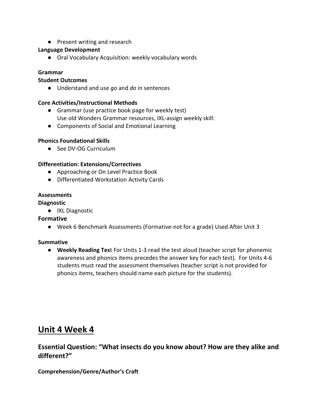● Present writing and research

#### **Language Development**

● Oral Vocabulary Acquisition: weekly vocabulary words

#### **Grammar**

#### **Student Outcomes**

● Understand and use *go* and *do* in sentences

#### **Core Activities/Instructional Methods**

- Grammar (use practice book page for weekly test) Use old Wonders Grammar resources, IXL-assign weekly skill:
- Components of Social and Emotional Learning

#### **Phonics Foundational Skills**

● See DV-OG Curriculum

#### **Differentiation: Extensions/Correctives**

- Approaching or On Level Practice Book
- Differentiated Workstation Activity Cards

#### **Assessments**

#### **Diagnostic**

● IXL Diagnostic

#### **Formative**

● Week 6 Benchmark Assessments (Formative-not for a grade) Used After Unit 3

#### **Summative**

● **Weekly Reading Tes**t For Units 1-3 read the test aloud (teacher script for phonemic awareness and phonics items precedes the answer key for each test). For Units 4-6 students must read the assessment themselves (teacher script is not provided for phonics items, teachers should name each picture for the students).

## **Unit 4 Week 4**

## **Essential Question: "What insects do you know about? How are they alike and different?"**

#### **Comprehension/Genre/Author's Craft**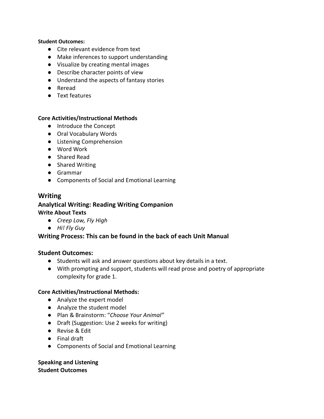#### **Student Outcomes:**

- Cite relevant evidence from text
- Make inferences to support understanding
- Visualize by creating mental images
- Describe character points of view
- Understand the aspects of fantasy stories
- Reread
- Text features

#### **Core Activities/Instructional Methods**

- Introduce the Concept
- Oral Vocabulary Words
- Listening Comprehension
- Word Work
- Shared Read
- Shared Writing
- Grammar
- Components of Social and Emotional Learning

#### **Writing**

#### **Analytical Writing: Reading Writing Companion Write About Texts**

- *Creep Low, Fly High*
- *Hi! Fly Guy*

#### **Writing Process: This can be found in the back of each Unit Manual**

#### **Student Outcomes:**

- Students will ask and answer questions about key details in a text.
- With prompting and support, students will read prose and poetry of appropriate complexity for grade 1.

#### **Core Activities/Instructional Methods:**

- Analyze the expert model
- Analyze the student model
- Plan & Brainstorm: "*Choose Your Animal"*
- Draft (Suggestion: Use 2 weeks for writing)
- Revise & Edit
- Final draft
- Components of Social and Emotional Learning

**Speaking and Listening Student Outcomes**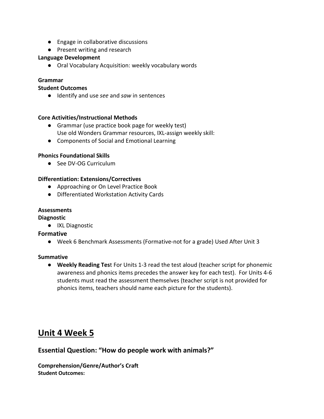- Engage in collaborative discussions
- Present writing and research

#### **Language Development**

● Oral Vocabulary Acquisition: weekly vocabulary words

#### **Grammar**

#### **Student Outcomes**

● Identify and use *see* and *saw* in sentences

#### **Core Activities/Instructional Methods**

- Grammar (use practice book page for weekly test) Use old Wonders Grammar resources, IXL-assign weekly skill:
- Components of Social and Emotional Learning

#### **Phonics Foundational Skills**

● See DV-OG Curriculum

#### **Differentiation: Extensions/Correctives**

- Approaching or On Level Practice Book
- Differentiated Workstation Activity Cards

#### **Assessments**

#### **Diagnostic**

● IXL Diagnostic

#### **Formative**

● Week 6 Benchmark Assessments (Formative-not for a grade) Used After Unit 3

#### **Summative**

● **Weekly Reading Tes**t For Units 1-3 read the test aloud (teacher script for phonemic awareness and phonics items precedes the answer key for each test). For Units 4-6 students must read the assessment themselves (teacher script is not provided for phonics items, teachers should name each picture for the students).

## **Unit 4 Week 5**

## **Essential Question: "How do people work with animals?"**

**Comprehension/Genre/Author's Craft Student Outcomes:**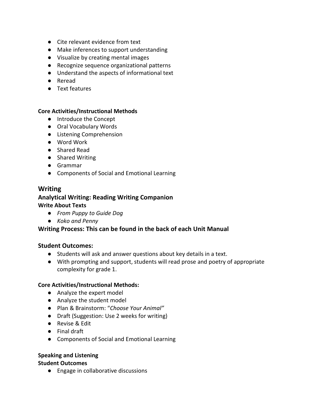- Cite relevant evidence from text
- Make inferences to support understanding
- Visualize by creating mental images
- Recognize sequence organizational patterns
- Understand the aspects of informational text
- Reread
- Text features

#### **Core Activities/Instructional Methods**

- Introduce the Concept
- Oral Vocabulary Words
- Listening Comprehension
- Word Work
- Shared Read
- Shared Writing
- Grammar
- Components of Social and Emotional Learning

## **Writing Analytical Writing: Reading Writing Companion**

### **Write About Texts**

- *From Puppy to Guide Dog*
- *Koko and Penny*

#### **Writing Process: This can be found in the back of each Unit Manual**

#### **Student Outcomes:**

- Students will ask and answer questions about key details in a text.
- With prompting and support, students will read prose and poetry of appropriate complexity for grade 1.

#### **Core Activities/Instructional Methods:**

- Analyze the expert model
- Analyze the student model
- Plan & Brainstorm: "*Choose Your Animal"*
- Draft (Suggestion: Use 2 weeks for writing)
- Revise & Edit
- Final draft
- Components of Social and Emotional Learning

#### **Speaking and Listening**

#### **Student Outcomes**

● Engage in collaborative discussions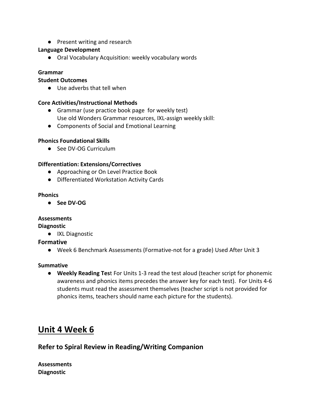● Present writing and research

#### **Language Development**

● Oral Vocabulary Acquisition: weekly vocabulary words

#### **Grammar**

#### **Student Outcomes**

● Use adverbs that tell when

#### **Core Activities/Instructional Methods**

- Grammar (use practice book page for weekly test) Use old Wonders Grammar resources, IXL-assign weekly skill:
- Components of Social and Emotional Learning

#### **Phonics Foundational Skills**

● See DV-OG Curriculum

#### **Differentiation: Extensions/Correctives**

- Approaching or On Level Practice Book
- Differentiated Workstation Activity Cards

#### **Phonics**

● **See DV-OG**

#### **Assessments**

**Diagnostic**

● IXL Diagnostic

#### **Formative**

● Week 6 Benchmark Assessments (Formative-not for a grade) Used After Unit 3

#### **Summative**

● **Weekly Reading Tes**t For Units 1-3 read the test aloud (teacher script for phonemic awareness and phonics items precedes the answer key for each test). For Units 4-6 students must read the assessment themselves (teacher script is not provided for phonics items, teachers should name each picture for the students).

## **Unit 4 Week 6**

## **Refer to Spiral Review in Reading/Writing Companion**

**Assessments Diagnostic**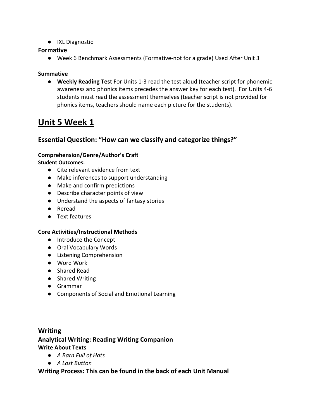● IXL Diagnostic

#### **Formative**

● Week 6 Benchmark Assessments (Formative-not for a grade) Used After Unit 3

#### **Summative**

● **Weekly Reading Tes**t For Units 1-3 read the test aloud (teacher script for phonemic awareness and phonics items precedes the answer key for each test). For Units 4-6 students must read the assessment themselves (teacher script is not provided for phonics items, teachers should name each picture for the students).

## **Unit 5 Week 1**

## **Essential Question: "How can we classify and categorize things?"**

#### **Comprehension/Genre/Author's Craft**

**Student Outcomes:**

- Cite relevant evidence from text
- Make inferences to support understanding
- Make and confirm predictions
- Describe character points of view
- Understand the aspects of fantasy stories
- Reread
- Text features

#### **Core Activities/Instructional Methods**

- Introduce the Concept
- Oral Vocabulary Words
- Listening Comprehension
- Word Work
- Shared Read
- Shared Writing
- Grammar
- Components of Social and Emotional Learning

## **Writing Analytical Writing: Reading Writing Companion Write About Texts**

- *A Barn Full of Hats*
- *A Lost Button*

#### **Writing Process: This can be found in the back of each Unit Manual**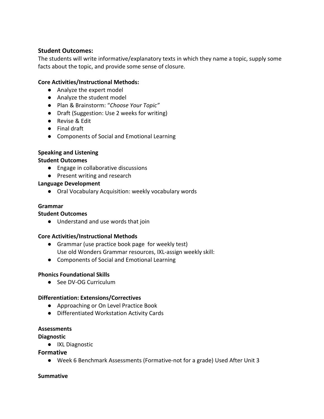#### **Student Outcomes:**

The students will write informative/explanatory texts in which they name a topic, supply some facts about the topic, and provide some sense of closure.

### **Core Activities/Instructional Methods:**

- Analyze the expert model
- Analyze the student model
- Plan & Brainstorm: "*Choose Your Topic"*
- Draft (Suggestion: Use 2 weeks for writing)
- Revise & Edit
- Final draft
- Components of Social and Emotional Learning

#### **Speaking and Listening**

#### **Student Outcomes**

- Engage in collaborative discussions
- Present writing and research

#### **Language Development**

● Oral Vocabulary Acquisition: weekly vocabulary words

#### **Grammar**

#### **Student Outcomes**

● Understand and use words that join

#### **Core Activities/Instructional Methods**

- Grammar (use practice book page for weekly test) Use old Wonders Grammar resources, IXL-assign weekly skill:
- Components of Social and Emotional Learning

#### **Phonics Foundational Skills**

● See DV-OG Curriculum

#### **Differentiation: Extensions/Correctives**

- Approaching or On Level Practice Book
- Differentiated Workstation Activity Cards

#### **Assessments**

#### **Diagnostic**

● IXL Diagnostic

#### **Formative**

● Week 6 Benchmark Assessments (Formative-not for a grade) Used After Unit 3

#### **Summative**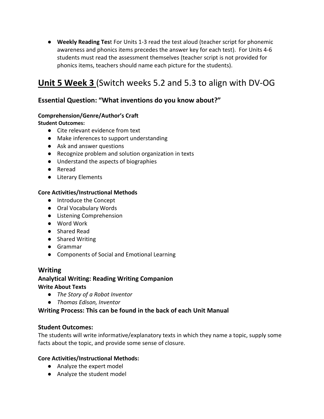● **Weekly Reading Tes**t For Units 1-3 read the test aloud (teacher script for phonemic awareness and phonics items precedes the answer key for each test). For Units 4-6 students must read the assessment themselves (teacher script is not provided for phonics items, teachers should name each picture for the students).

## **Unit 5 Week 3** (Switch weeks 5.2 and 5.3 to align with DV-OG

## **Essential Question: "What inventions do you know about?"**

#### **Comprehension/Genre/Author's Craft**

**Student Outcomes:**

- Cite relevant evidence from text
- Make inferences to support understanding
- Ask and answer questions
- Recognize problem and solution organization in texts
- Understand the aspects of biographies
- Reread
- Literary Elements

#### **Core Activities/Instructional Methods**

- Introduce the Concept
- Oral Vocabulary Words
- Listening Comprehension
- Word Work
- Shared Read
- Shared Writing
- Grammar
- Components of Social and Emotional Learning

#### **Writing**

### **Analytical Writing: Reading Writing Companion Write About Texts**

- *The Story of a Robot Inventor*
- *Thomas Edison, Inventor*

#### **Writing Process: This can be found in the back of each Unit Manual**

#### **Student Outcomes:**

The students will write informative/explanatory texts in which they name a topic, supply some facts about the topic, and provide some sense of closure.

- Analyze the expert model
- Analyze the student model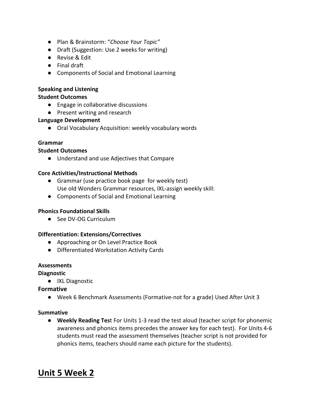- Plan & Brainstorm: "*Choose Your Topic"*
- Draft (Suggestion: Use 2 weeks for writing)
- Revise & Edit
- Final draft
- Components of Social and Emotional Learning

#### **Speaking and Listening**

#### **Student Outcomes**

- Engage in collaborative discussions
- Present writing and research

#### **Language Development**

● Oral Vocabulary Acquisition: weekly vocabulary words

#### **Grammar**

#### **Student Outcomes**

● Understand and use Adjectives that Compare

#### **Core Activities/Instructional Methods**

- Grammar (use practice book page for weekly test) Use old Wonders Grammar resources, IXL-assign weekly skill:
- Components of Social and Emotional Learning

#### **Phonics Foundational Skills**

● See DV-OG Curriculum

#### **Differentiation: Extensions/Correctives**

- Approaching or On Level Practice Book
- Differentiated Workstation Activity Cards

#### **Assessments**

#### **Diagnostic**

● IXL Diagnostic

#### **Formative**

● Week 6 Benchmark Assessments (Formative-not for a grade) Used After Unit 3

#### **Summative**

● **Weekly Reading Tes**t For Units 1-3 read the test aloud (teacher script for phonemic awareness and phonics items precedes the answer key for each test). For Units 4-6 students must read the assessment themselves (teacher script is not provided for phonics items, teachers should name each picture for the students).

## **Unit 5 Week 2**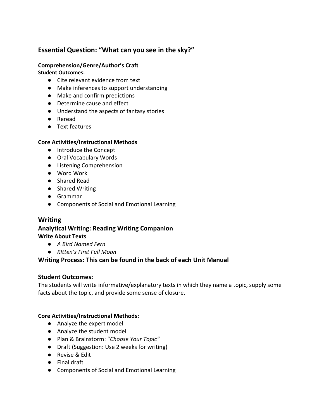## **Essential Question: "What can you see in the sky?"**

#### **Comprehension/Genre/Author's Craft**

#### **Student Outcomes:**

- Cite relevant evidence from text
- Make inferences to support understanding
- Make and confirm predictions
- Determine cause and effect
- Understand the aspects of fantasy stories
- Reread
- Text features

### **Core Activities/Instructional Methods**

- Introduce the Concept
- Oral Vocabulary Words
- Listening Comprehension
- Word Work
- Shared Read
- Shared Writing
- Grammar
- Components of Social and Emotional Learning

## **Writing**

## **Analytical Writing: Reading Writing Companion Write About Texts**

- *A Bird Named Fern*
- *KItten's First Full Moon*

## **Writing Process: This can be found in the back of each Unit Manual**

## **Student Outcomes:**

The students will write informative/explanatory texts in which they name a topic, supply some facts about the topic, and provide some sense of closure.

- Analyze the expert model
- Analyze the student model
- Plan & Brainstorm: "*Choose Your Topic"*
- Draft (Suggestion: Use 2 weeks for writing)
- Revise & Edit
- Final draft
- Components of Social and Emotional Learning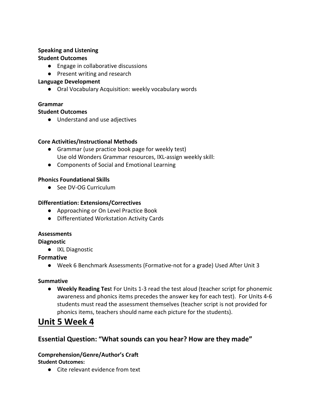## **Speaking and Listening**

## **Student Outcomes**

- Engage in collaborative discussions
- Present writing and research

## **Language Development**

● Oral Vocabulary Acquisition: weekly vocabulary words

## **Grammar**

### **Student Outcomes**

● Understand and use adjectives

## **Core Activities/Instructional Methods**

- Grammar (use practice book page for weekly test) Use old Wonders Grammar resources, IXL-assign weekly skill:
- Components of Social and Emotional Learning

## **Phonics Foundational Skills**

● See DV-OG Curriculum

## **Differentiation: Extensions/Correctives**

- Approaching or On Level Practice Book
- Differentiated Workstation Activity Cards

## **Assessments**

**Diagnostic**

● IXL Diagnostic

## **Formative**

● Week 6 Benchmark Assessments (Formative-not for a grade) Used After Unit 3

## **Summative**

● **Weekly Reading Tes**t For Units 1-3 read the test aloud (teacher script for phonemic awareness and phonics items precedes the answer key for each test). For Units 4-6 students must read the assessment themselves (teacher script is not provided for phonics items, teachers should name each picture for the students).

## **Unit 5 Week 4**

## **Essential Question: "What sounds can you hear? How are they made"**

## **Comprehension/Genre/Author's Craft**

**Student Outcomes:**

● Cite relevant evidence from text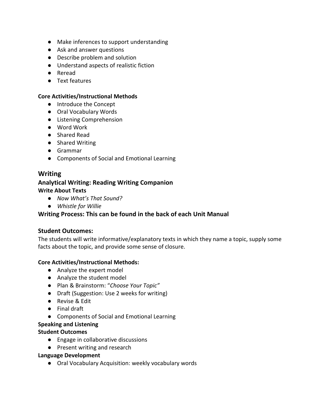- Make inferences to support understanding
- Ask and answer questions
- Describe problem and solution
- Understand aspects of realistic fiction
- Reread
- Text features

#### **Core Activities/Instructional Methods**

- Introduce the Concept
- Oral Vocabulary Words
- Listening Comprehension
- Word Work
- Shared Read
- Shared Writing
- Grammar
- Components of Social and Emotional Learning

## **Writing**

## **Analytical Writing: Reading Writing Companion Write About Texts**

- *Now What's That Sound?*
- *Whistle for Willie*

## **Writing Process: This can be found in the back of each Unit Manual**

## **Student Outcomes:**

The students will write informative/explanatory texts in which they name a topic, supply some facts about the topic, and provide some sense of closure.

#### **Core Activities/Instructional Methods:**

- Analyze the expert model
- Analyze the student model
- Plan & Brainstorm: "*Choose Your Topic"*
- Draft (Suggestion: Use 2 weeks for writing)
- Revise & Edit
- Final draft
- Components of Social and Emotional Learning

#### **Speaking and Listening**

#### **Student Outcomes**

- Engage in collaborative discussions
- Present writing and research

#### **Language Development**

● Oral Vocabulary Acquisition: weekly vocabulary words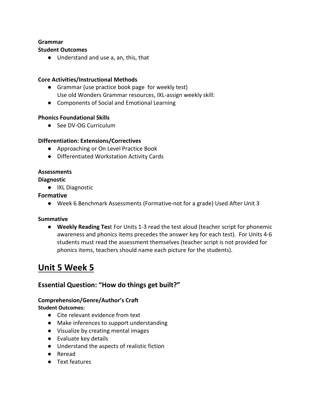#### **Grammar**

#### **Student Outcomes**

● Understand and use a, an, this, that

#### **Core Activities/Instructional Methods**

- Grammar (use practice book page for weekly test) Use old Wonders Grammar resources, IXL-assign weekly skill:
- Components of Social and Emotional Learning

#### **Phonics Foundational Skills**

● See DV-OG Curriculum

#### **Differentiation: Extensions/Correctives**

- Approaching or On Level Practice Book
- Differentiated Workstation Activity Cards

#### **Assessments**

#### **Diagnostic**

● IXL Diagnostic

#### **Formative**

● Week 6 Benchmark Assessments (Formative-not for a grade) Used After Unit 3

#### **Summative**

● **Weekly Reading Tes**t For Units 1-3 read the test aloud (teacher script for phonemic awareness and phonics items precedes the answer key for each test). For Units 4-6 students must read the assessment themselves (teacher script is not provided for phonics items, teachers should name each picture for the students).

## **Unit 5 Week 5**

## **Essential Question: "How do things get built?"**

#### **Comprehension/Genre/Author's Craft**

**Student Outcomes:**

- Cite relevant evidence from text
- Make inferences to support understanding
- Visualize by creating mental images
- Evaluate key details
- Understand the aspects of realistic fiction
- Reread
- Text features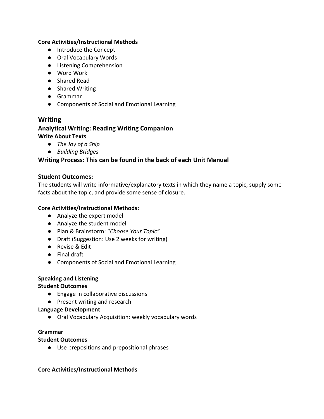#### **Core Activities/Instructional Methods**

- Introduce the Concept
- Oral Vocabulary Words
- Listening Comprehension
- Word Work
- Shared Read
- Shared Writing
- Grammar
- Components of Social and Emotional Learning

### **Writing Analytical Writing: Reading Writing Companion Write About Texts**

- *The Joy of a Ship*
- *Building Bridges*

#### **Writing Process: This can be found in the back of each Unit Manual**

#### **Student Outcomes:**

The students will write informative/explanatory texts in which they name a topic, supply some facts about the topic, and provide some sense of closure.

#### **Core Activities/Instructional Methods:**

- Analyze the expert model
- Analyze the student model
- Plan & Brainstorm: "*Choose Your Topic"*
- Draft (Suggestion: Use 2 weeks for writing)
- Revise & Edit
- Final draft
- Components of Social and Emotional Learning

#### **Speaking and Listening**

#### **Student Outcomes**

- Engage in collaborative discussions
- Present writing and research

#### **Language Development**

● Oral Vocabulary Acquisition: weekly vocabulary words

#### **Grammar**

#### **Student Outcomes**

● Use prepositions and prepositional phrases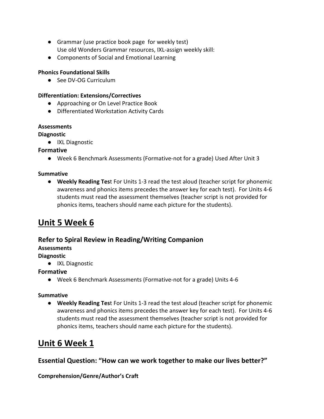- Grammar (use practice book page for weekly test) Use old Wonders Grammar resources, IXL-assign weekly skill:
- Components of Social and Emotional Learning

### **Phonics Foundational Skills**

● See DV-OG Curriculum

#### **Differentiation: Extensions/Correctives**

- Approaching or On Level Practice Book
- Differentiated Workstation Activity Cards

#### **Assessments**

#### **Diagnostic**

● IXL Diagnostic

#### **Formative**

● Week 6 Benchmark Assessments (Formative-not for a grade) Used After Unit 3

#### **Summative**

● **Weekly Reading Tes**t For Units 1-3 read the test aloud (teacher script for phonemic awareness and phonics items precedes the answer key for each test). For Units 4-6 students must read the assessment themselves (teacher script is not provided for phonics items, teachers should name each picture for the students).

## **Unit 5 Week 6**

## **Refer to Spiral Review in Reading/Writing Companion**

## **Assessments**

## **Diagnostic**

● IXL Diagnostic

## **Formative**

● Week 6 Benchmark Assessments (Formative-not for a grade) Units 4-6

#### **Summative**

● **Weekly Reading Tes**t For Units 1-3 read the test aloud (teacher script for phonemic awareness and phonics items precedes the answer key for each test). For Units 4-6 students must read the assessment themselves (teacher script is not provided for phonics items, teachers should name each picture for the students).

## **Unit 6 Week 1**

## **Essential Question: "How can we work together to make our lives better?"**

#### **Comprehension/Genre/Author's Craft**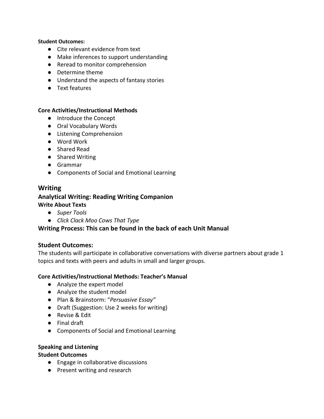#### **Student Outcomes:**

- Cite relevant evidence from text
- Make inferences to support understanding
- Reread to monitor comprehension
- Determine theme
- Understand the aspects of fantasy stories
- Text features

#### **Core Activities/Instructional Methods**

- Introduce the Concept
- Oral Vocabulary Words
- Listening Comprehension
- Word Work
- Shared Read
- Shared Writing
- Grammar
- Components of Social and Emotional Learning

#### **Writing Analytical Writing: Reading Writing Companion Write About Texts**

- *Super Tools*
- *Click Clack Moo Cows That Type*

### **Writing Process: This can be found in the back of each Unit Manual**

#### **Student Outcomes:**

The students will participate in collaborative conversations with diverse partners about grade 1 topics and texts with peers and adults in small and larger groups.

#### **Core Activities/Instructional Methods: Teacher's Manual**

- Analyze the expert model
- Analyze the student model
- Plan & Brainstorm: "*Persuasive Essay"*
- Draft (Suggestion: Use 2 weeks for writing)
- Revise & Edit
- Final draft
- Components of Social and Emotional Learning

#### **Speaking and Listening**

#### **Student Outcomes**

- Engage in collaborative discussions
- Present writing and research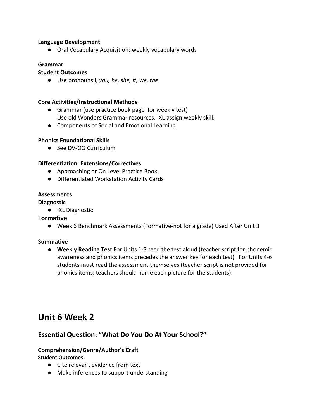#### **Language Development**

● Oral Vocabulary Acquisition: weekly vocabulary words

#### **Grammar**

#### **Student Outcomes**

● Use pronouns I*, you, he, she, it, we, the*

#### **Core Activities/Instructional Methods**

- Grammar (use practice book page for weekly test) Use old Wonders Grammar resources, IXL-assign weekly skill:
- Components of Social and Emotional Learning

#### **Phonics Foundational Skills**

● See DV-OG Curriculum

#### **Differentiation: Extensions/Correctives**

- Approaching or On Level Practice Book
- Differentiated Workstation Activity Cards

#### **Assessments**

#### **Diagnostic**

● IXL Diagnostic

#### **Formative**

● Week 6 Benchmark Assessments (Formative-not for a grade) Used After Unit 3

#### **Summative**

● **Weekly Reading Tes**t For Units 1-3 read the test aloud (teacher script for phonemic awareness and phonics items precedes the answer key for each test). For Units 4-6 students must read the assessment themselves (teacher script is not provided for phonics items, teachers should name each picture for the students).

## **Unit 6 Week 2**

#### **Essential Question: "What Do You Do At Your School?"**

#### **Comprehension/Genre/Author's Craft**

**Student Outcomes:**

- Cite relevant evidence from text
- Make inferences to support understanding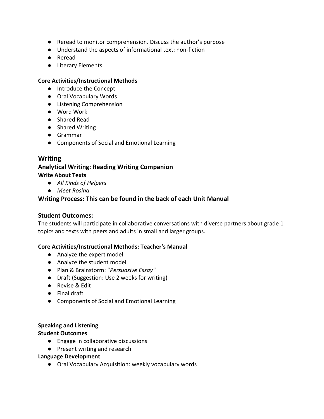- Reread to monitor comprehension. Discuss the author's purpose
- Understand the aspects of informational text: non-fiction
- Reread
- Literary Elements

#### **Core Activities/Instructional Methods**

- Introduce the Concept
- Oral Vocabulary Words
- Listening Comprehension
- Word Work
- Shared Read
- Shared Writing
- Grammar
- Components of Social and Emotional Learning

#### **Writing**

### **Analytical Writing: Reading Writing Companion Write About Texts**

- *All Kinds of Helpers*
- *Meet Rosina*

#### **Writing Process: This can be found in the back of each Unit Manual**

#### **Student Outcomes:**

The students will participate in collaborative conversations with diverse partners about grade 1 topics and texts with peers and adults in small and larger groups.

#### **Core Activities/Instructional Methods: Teacher's Manual**

- Analyze the expert model
- Analyze the student model
- Plan & Brainstorm: "*Persuasive Essay"*
- Draft (Suggestion: Use 2 weeks for writing)
- Revise & Edit
- Final draft
- Components of Social and Emotional Learning

#### **Speaking and Listening**

#### **Student Outcomes**

- Engage in collaborative discussions
- Present writing and research

#### **Language Development**

● Oral Vocabulary Acquisition: weekly vocabulary words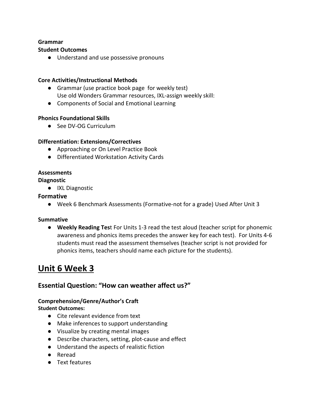#### **Grammar**

#### **Student Outcomes**

● Understand and use possessive pronouns

#### **Core Activities/Instructional Methods**

- Grammar (use practice book page for weekly test) Use old Wonders Grammar resources, IXL-assign weekly skill:
- Components of Social and Emotional Learning

#### **Phonics Foundational Skills**

● See DV-OG Curriculum

#### **Differentiation: Extensions/Correctives**

- Approaching or On Level Practice Book
- Differentiated Workstation Activity Cards

#### **Assessments**

#### **Diagnostic**

● IXL Diagnostic

#### **Formative**

● Week 6 Benchmark Assessments (Formative-not for a grade) Used After Unit 3

#### **Summative**

● **Weekly Reading Tes**t For Units 1-3 read the test aloud (teacher script for phonemic awareness and phonics items precedes the answer key for each test). For Units 4-6 students must read the assessment themselves (teacher script is not provided for phonics items, teachers should name each picture for the students).

## **Unit 6 Week 3**

## **Essential Question: "How can weather affect us?"**

#### **Comprehension/Genre/Author's Craft**

#### **Student Outcomes:**

- Cite relevant evidence from text
- Make inferences to support understanding
- Visualize by creating mental images
- Describe characters, setting, plot-cause and effect
- Understand the aspects of realistic fiction
- Reread
- Text features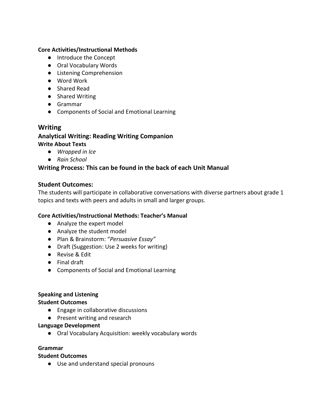#### **Core Activities/Instructional Methods**

- Introduce the Concept
- Oral Vocabulary Words
- Listening Comprehension
- Word Work
- Shared Read
- Shared Writing
- Grammar
- Components of Social and Emotional Learning

#### **Writing**

## **Analytical Writing: Reading Writing Companion**

#### **Write About Texts**

- *Wrapped in Ice*
- *Rain School*

#### **Writing Process: This can be found in the back of each Unit Manual**

#### **Student Outcomes:**

The students will participate in collaborative conversations with diverse partners about grade 1 topics and texts with peers and adults in small and larger groups.

#### **Core Activities/Instructional Methods: Teacher's Manual**

- Analyze the expert model
- Analyze the student model
- Plan & Brainstorm: "*Persuasive Essay"*
- Draft (Suggestion: Use 2 weeks for writing)
- Revise & Edit
- Final draft
- Components of Social and Emotional Learning

#### **Speaking and Listening**

#### **Student Outcomes**

- Engage in collaborative discussions
- Present writing and research

#### **Language Development**

● Oral Vocabulary Acquisition: weekly vocabulary words

#### **Grammar**

#### **Student Outcomes**

● Use and understand special pronouns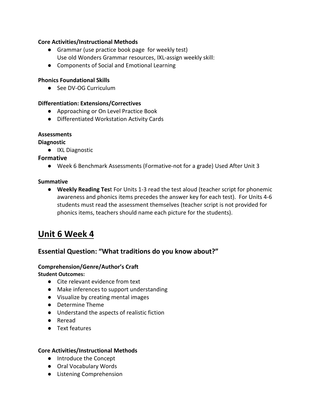#### **Core Activities/Instructional Methods**

- Grammar (use practice book page for weekly test) Use old Wonders Grammar resources, IXL-assign weekly skill:
- Components of Social and Emotional Learning

#### **Phonics Foundational Skills**

● See DV-OG Curriculum

#### **Differentiation: Extensions/Correctives**

- Approaching or On Level Practice Book
- Differentiated Workstation Activity Cards

#### **Assessments**

#### **Diagnostic**

● IXL Diagnostic

#### **Formative**

● Week 6 Benchmark Assessments (Formative-not for a grade) Used After Unit 3

#### **Summative**

● **Weekly Reading Tes**t For Units 1-3 read the test aloud (teacher script for phonemic awareness and phonics items precedes the answer key for each test). For Units 4-6 students must read the assessment themselves (teacher script is not provided for phonics items, teachers should name each picture for the students).

## **Unit 6 Week 4**

## **Essential Question: "What traditions do you know about?"**

#### **Comprehension/Genre/Author's Craft**

#### **Student Outcomes:**

- Cite relevant evidence from text
- Make inferences to support understanding
- Visualize by creating mental images
- Determine Theme
- Understand the aspects of realistic fiction
- Reread
- Text features

- Introduce the Concept
- Oral Vocabulary Words
- Listening Comprehension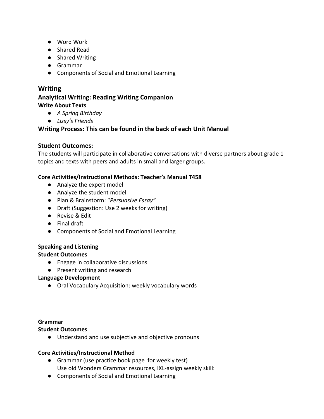- Word Work
- Shared Read
- Shared Writing
- Grammar
- Components of Social and Emotional Learning

## **Writing**

### **Analytical Writing: Reading Writing Companion Write About Texts**

- *A Spring Birthday*
- *Lissy's Friends*

## **Writing Process: This can be found in the back of each Unit Manual**

## **Student Outcomes:**

The students will participate in collaborative conversations with diverse partners about grade 1 topics and texts with peers and adults in small and larger groups.

## **Core Activities/Instructional Methods: Teacher's Manual T458**

- Analyze the expert model
- Analyze the student model
- Plan & Brainstorm: "*Persuasive Essay"*
- Draft (Suggestion: Use 2 weeks for writing)
- Revise & Edit
- Final draft
- Components of Social and Emotional Learning

## **Speaking and Listening**

## **Student Outcomes**

- Engage in collaborative discussions
- Present writing and research

## **Language Development**

● Oral Vocabulary Acquisition: weekly vocabulary words

## **Grammar**

## **Student Outcomes**

● Understand and use subjective and objective pronouns

- Grammar (use practice book page for weekly test) Use old Wonders Grammar resources, IXL-assign weekly skill:
- Components of Social and Emotional Learning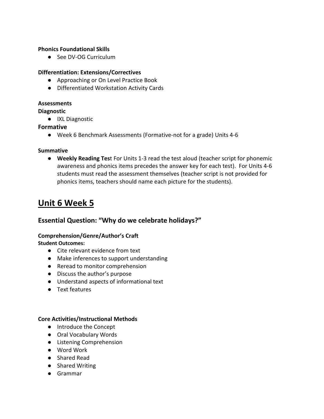#### **Phonics Foundational Skills**

● See DV-OG Curriculum

#### **Differentiation: Extensions/Correctives**

- Approaching or On Level Practice Book
- Differentiated Workstation Activity Cards

#### **Assessments**

#### **Diagnostic**

● IXL Diagnostic

#### **Formative**

● Week 6 Benchmark Assessments (Formative-not for a grade) Units 4-6

#### **Summative**

● **Weekly Reading Tes**t For Units 1-3 read the test aloud (teacher script for phonemic awareness and phonics items precedes the answer key for each test). For Units 4-6 students must read the assessment themselves (teacher script is not provided for phonics items, teachers should name each picture for the students).

## **Unit 6 Week 5**

## **Essential Question: "Why do we celebrate holidays?"**

## **Comprehension/Genre/Author's Craft**

#### **Student Outcomes:**

- Cite relevant evidence from text
- Make inferences to support understanding
- Reread to monitor comprehension
- Discuss the author's purpose
- Understand aspects of informational text
- Text features

- Introduce the Concept
- Oral Vocabulary Words
- Listening Comprehension
- Word Work
- Shared Read
- Shared Writing
- Grammar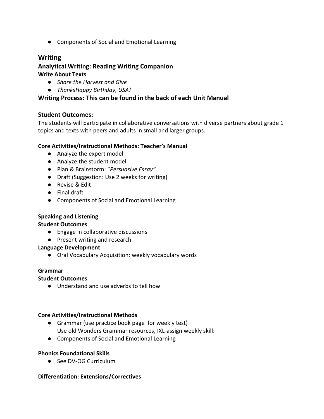● Components of Social and Emotional Learning

## **Writing**

### **Analytical Writing: Reading Writing Companion Write About Texts**

- *Share the Harvest and Give*
- *ThanksHappy Birthday, USA!*

### **Writing Process: This can be found in the back of each Unit Manual**

#### **Student Outcomes:**

The students will participate in collaborative conversations with diverse partners about grade 1 topics and texts with peers and adults in small and larger groups.

#### **Core Activities/Instructional Methods: Teacher's Manual**

- Analyze the expert model
- Analyze the student model
- Plan & Brainstorm: "*Persuasive Essay"*
- Draft (Suggestion: Use 2 weeks for writing)
- Revise & Edit
- Final draft
- Components of Social and Emotional Learning

#### **Speaking and Listening**

#### **Student Outcomes**

- Engage in collaborative discussions
- Present writing and research

#### **Language Development**

● Oral Vocabulary Acquisition: weekly vocabulary words

#### **Grammar**

#### **Student Outcomes**

● Understand and use adverbs to tell how

#### **Core Activities/Instructional Methods**

- Grammar (use practice book page for weekly test) Use old Wonders Grammar resources, IXL-assign weekly skill:
- Components of Social and Emotional Learning

#### **Phonics Foundational Skills**

● See DV-OG Curriculum

#### **Differentiation: Extensions/Correctives**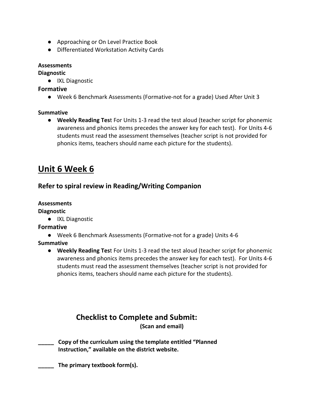- Approaching or On Level Practice Book
- Differentiated Workstation Activity Cards

#### **Assessments**

**Diagnostic**

● IXL Diagnostic

### **Formative**

● Week 6 Benchmark Assessments (Formative-not for a grade) Used After Unit 3

### **Summative**

● **Weekly Reading Tes**t For Units 1-3 read the test aloud (teacher script for phonemic awareness and phonics items precedes the answer key for each test). For Units 4-6 students must read the assessment themselves (teacher script is not provided for phonics items, teachers should name each picture for the students).

## **Unit 6 Week 6**

## **Refer to spiral review in Reading/Writing Companion**

#### **Assessments**

**Diagnostic**

● IXL Diagnostic

#### **Formative**

- Week 6 Benchmark Assessments (Formative-not for a grade) Units 4-6
- **Summative**
	- **Weekly Reading Tes**t For Units 1-3 read the test aloud (teacher script for phonemic awareness and phonics items precedes the answer key for each test). For Units 4-6 students must read the assessment themselves (teacher script is not provided for phonics items, teachers should name each picture for the students).

## **Checklist to Complete and Submit:**

**(Scan and email)**

**\_\_\_\_\_ Copy of the curriculum using the template entitled "Planned Instruction," available on the district website.**

**\_\_\_\_\_ The primary textbook form(s).**